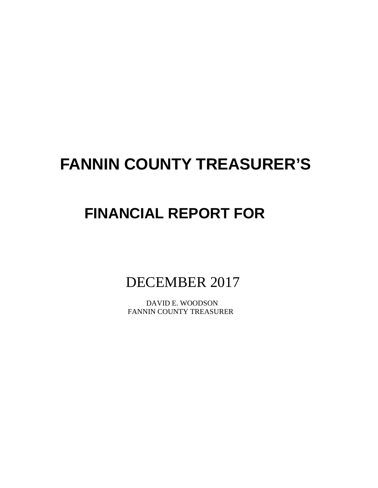# **FANNIN COUNTY TREASURER'S**

# **FINANCIAL REPORT FOR**

DECEMBER 2017

 DAVID E. WOODSON FANNIN COUNTY TREASURER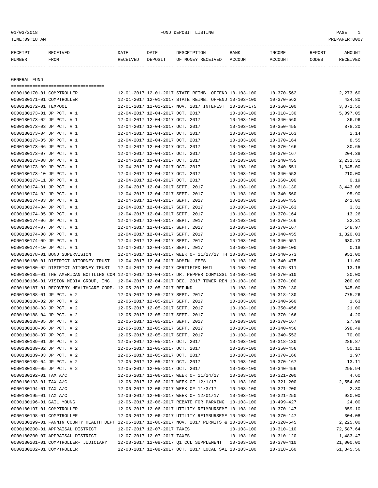01/03/2018 FUND DEPOSIT LISTING PAGE 1

| RECEIPT | RECEIVED | DATE     | DATE    | DESCRIPTION       | <b>BANK</b> | INCOME  | <b>REPORT</b> | AMOUNT          |
|---------|----------|----------|---------|-------------------|-------------|---------|---------------|-----------------|
| NUMBER  | FROM     | RECEIVED | DEPOSIT | OF MONEY RECEIVED | ACCOUNT     | ACCOUNT | CODES         | <b>RECEIVED</b> |
|         |          |          |         |                   |             |         |               |                 |

GENERAL FUND

===================================

| 0000180170-01 COMPTROLLER                                                                    |                                  | 12-01-2017 12-01-2017 STATE REIMB. OFFEND 10-103-100 |                  | $10 - 370 - 562$                     | 2,273.60  |
|----------------------------------------------------------------------------------------------|----------------------------------|------------------------------------------------------|------------------|--------------------------------------|-----------|
| 0000180171-01 COMPTROLLER                                                                    |                                  | 12-01-2017 12-01-2017 STATE REIMB. OFFEND 10-103-100 |                  | $10 - 370 - 562$                     | 424.80    |
| 0000180172-01 TEXPOOL                                                                        |                                  | 12-01-2017 12-01-2017 NOV. 2017 INTEREST 10-103-175  |                  | $10 - 360 - 100$                     | 3,071.50  |
| 0000180173-01 JP PCT. # 1                                                                    | 12-04-2017 12-04-2017 OCT. 2017  |                                                      | $10 - 103 - 100$ | $10 - 318 - 130$                     | 5,097.05  |
| 0000180173-02 JP PCT. # 1                                                                    | 12-04-2017 12-04-2017 OCT. 2017  |                                                      | $10 - 103 - 100$ | $10 - 340 - 560$                     | 36.96     |
| 0000180173-03 JP PCT. # 1                                                                    | 12-04-2017 12-04-2017 OCT. 2017  |                                                      | $10 - 103 - 100$ | $10 - 350 - 455$                     | 878.20    |
| 0000180173-04 JP PCT. # 1                                                                    | 12-04-2017 12-04-2017 OCT. 2017  |                                                      | $10 - 103 - 100$ | $10 - 370 - 163$                     | 2.14      |
| 0000180173-05 JP PCT. # 1                                                                    | 12-04-2017 12-04-2017 OCT. 2017  |                                                      | $10 - 103 - 100$ | $10 - 370 - 164$                     | 8.55      |
| 0000180173-06 JP PCT. # 1                                                                    | 12-04-2017 12-04-2017 OCT. 2017  |                                                      | $10 - 103 - 100$ | $10 - 370 - 166$                     | 30.65     |
| 0000180173-07 JP PCT. # 1                                                                    | 12-04-2017 12-04-2017 OCT. 2017  |                                                      | $10 - 103 - 100$ | $10 - 370 - 167$                     | 204.38    |
| 0000180173-08 JP PCT. # 1                                                                    | 12-04-2017 12-04-2017 OCT. 2017  |                                                      | $10 - 103 - 100$ | $10 - 340 - 455$                     | 2,231.31  |
| 0000180173-09 JP PCT. # 1                                                                    | 12-04-2017 12-04-2017 OCT. 2017  |                                                      | $10 - 103 - 100$ | $10 - 340 - 551$                     | 1,345.00  |
| 0000180173-10 JP PCT. # 1                                                                    | 12-04-2017 12-04-2017 OCT. 2017  |                                                      | $10 - 103 - 100$ | $10 - 340 - 553$                     | 210.00    |
| 0000180173-11 JP PCT. # 1                                                                    | 12-04-2017 12-04-2017 OCT. 2017  |                                                      | $10 - 103 - 100$ | $10 - 360 - 100$                     | 0.19      |
| 0000180174-01 JP PCT. # 1                                                                    | 12-04-2017 12-04-2017 SEPT. 2017 |                                                      | $10 - 103 - 100$ | $10 - 318 - 130$                     | 3,443.06  |
| 0000180174-02 JP PCT. # 1                                                                    | 12-04-2017 12-04-2017 SEPT. 2017 |                                                      | $10 - 103 - 100$ | $10 - 340 - 560$                     | 95.90     |
| 0000180174-03 JP PCT. # 1                                                                    | 12-04-2017 12-04-2017 SEPT. 2017 |                                                      | $10 - 103 - 100$ | $10 - 350 - 455$                     | 241.00    |
| 0000180174-04 JP PCT. # 1                                                                    | 12-04-2017 12-04-2017 SEPT. 2017 |                                                      | $10 - 103 - 100$ | $10 - 370 - 163$                     | 3.31      |
| 0000180174-05 JP PCT. # 1                                                                    | 12-04-2017 12-04-2017 SEPT. 2017 |                                                      | $10 - 103 - 100$ | $10 - 370 - 164$                     | 13.26     |
| 0000180174-06 JP PCT. # 1                                                                    | 12-04-2017 12-04-2017 SEPT. 2017 |                                                      | $10 - 103 - 100$ | $10 - 370 - 166$                     | 22.31     |
| 0000180174-07 JP PCT. # 1                                                                    | 12-04-2017 12-04-2017 SEPT. 2017 |                                                      | $10 - 103 - 100$ | $10 - 370 - 167$                     | 148.97    |
| 0000180174-08 JP PCT. # 1                                                                    | 12-04-2017 12-04-2017 SEPT. 2017 |                                                      | $10 - 103 - 100$ |                                      | 1,320.03  |
| 0000180174-09 JP PCT. # 1                                                                    | 12-04-2017 12-04-2017 SEPT. 2017 |                                                      | $10 - 103 - 100$ | $10 - 340 - 455$<br>$10 - 340 - 551$ | 630.73    |
| 0000180174-10 JP PCT. # 1                                                                    | 12-04-2017 12-04-2017 SEPT. 2017 |                                                      |                  |                                      | 0.18      |
| 0000180178-01 BOND SUPERVISION                                                               |                                  |                                                      | $10 - 103 - 100$ | $10 - 360 - 100$                     |           |
|                                                                                              |                                  | 12-04-2017 12-04-2017 WEEK OF 11/27/17 TH 10-103-100 |                  | $10 - 340 - 573$                     | 951.00    |
| 0000180180-01 DISTRICT ATTORNEY TRUST                                                        |                                  | 12-04-2017 12-04-2017 ADMIN. FEES                    | $10 - 103 - 100$ | $10 - 340 - 475$                     | 11.00     |
| 0000180180-02 DISTRICT ATTORNEY TRUST                                                        |                                  | 12-04-2017 12-04-2017 CERTIFIED MAIL                 | $10 - 103 - 100$ | $10 - 475 - 311$                     | 13.18     |
| 0000180185-01 THE AMERICAN BOTTLING COM 12-04-2017 12-04-2017 DR. PEPPER COMMISSI 10-103-100 |                                  |                                                      |                  | $10 - 370 - 510$                     | 20.00     |
| 0000180186-01 VISION MEDIA GROUP, INC.                                                       |                                  | 12-04-2017 12-04-2017 DEC. 2017 TOWER REN 10-103-100 |                  | $10 - 370 - 100$                     | 200.00    |
| 0000180187-01 RECOVERY HEALTHCARE CORP. 12-05-2017 12-05-2017 REFUND                         |                                  |                                                      | 10-103-100       | $10 - 370 - 130$                     | 345.00    |
| 0000180188-01 JP PCT. # 2                                                                    | 12-05-2017 12-05-2017 SEPT. 2017 |                                                      | $10 - 103 - 100$ | $10 - 318 - 130$                     | 775.26    |
| 0000180188-02 JP PCT. # 2                                                                    | 12-05-2017 12-05-2017 SEPT. 2017 |                                                      | $10 - 103 - 100$ | $10 - 340 - 560$                     | 1.63      |
| 0000180188-03 JP PCT. # 2                                                                    | 12-05-2017 12-05-2017 SEPT. 2017 |                                                      | $10 - 103 - 100$ | $10 - 350 - 456$                     | 21.00     |
| 0000180188-04 JP PCT. # 2                                                                    | 12-05-2017 12-05-2017 SEPT. 2017 |                                                      | $10 - 103 - 100$ | $10 - 370 - 166$                     | 4.20      |
| 0000180188-05 JP PCT. # 2                                                                    | 12-05-2017 12-05-2017 SEPT. 2017 |                                                      | $10 - 103 - 100$ | $10 - 370 - 167$                     | 27.99     |
| 0000180188-06 JP PCT. # 2                                                                    | 12-05-2017 12-05-2017 SEPT. 2017 |                                                      | $10 - 103 - 100$ | $10 - 340 - 456$                     | 598.49    |
| 0000180188-07 JP PCT. # 2                                                                    | 12-05-2017 12-05-2017 SEPT. 2017 |                                                      | $10 - 103 - 100$ | $10 - 340 - 552$                     | 70.00     |
| 0000180189-01 JP PCT. # 2                                                                    | 12-05-2017 12-05-2017 OCT. 2017  |                                                      | $10 - 103 - 100$ | $10 - 318 - 130$                     | 286.87    |
| 0000180189-02 JP PCT. # 2                                                                    | 12-05-2017 12-05-2017 OCT. 2017  |                                                      | $10 - 103 - 100$ | $10 - 350 - 456$                     | 50.10     |
| 0000180189-03 JP PCT. # 2                                                                    | 12-05-2017 12-05-2017 OCT. 2017  |                                                      | $10 - 103 - 100$ | $10 - 370 - 166$                     | 1.97      |
| 0000180189-04 JP PCT. # 2                                                                    | 12-05-2017 12-05-2017 OCT. 2017  |                                                      | $10 - 103 - 100$ | $10 - 370 - 167$                     | 13.11     |
| 0000180189-05 JP PCT. # 2                                                                    | 12-05-2017 12-05-2017 OCT. 2017  |                                                      | $10 - 103 - 100$ | $10 - 340 - 456$                     | 295.94    |
| 0000180192-01 TAX A/C                                                                        |                                  | 12-06-2017 12-06-2017 WEEK OF 11/24/17               | 10-103-100       | $10 - 321 - 200$                     | 4.60      |
| 0000180193-01 TAX A/C                                                                        |                                  | 12-06-2017 12-06-2017 WEEK OF 12/1/17                | 10-103-100       | $10 - 321 - 200$                     | 2,554.00  |
| 0000180194-01 TAX A/C                                                                        |                                  | 12-06-2017 12-06-2017 WEEK OF 11/3/17                | 10-103-100       | $10 - 321 - 200$                     | 2.30      |
| 0000180195-01 TAX A/C                                                                        |                                  | 12-06-2017 12-06-2017 WEEK OF 12/01/17               | 10-103-100       | $10 - 321 - 250$                     | 920.00    |
| 0000180196-01 GAIL YOUNG                                                                     |                                  | 12-06-2017 12-06-2017 REBATE FOR PARKING 10-103-100  |                  | $10 - 499 - 427$                     | 24.00     |
| 0000180197-01 COMPTROLLER                                                                    |                                  | 12-06-2017 12-06-2017 UTILITY REIMBURSEME 10-103-100 |                  | 10-370-147                           | 859.10    |
| 0000180198-01 COMPTROLLER                                                                    |                                  | 12-06-2017 12-06-2017 UTILITY REIMBURSEME 10-103-100 |                  | $10 - 370 - 147$                     | 304.08    |
| 0000180199-01 FANNIN COUNTY HEALTH DEPT 12-06-2017 12-06-2017 NOV. 2017 PERMITS & 10-103-100 |                                  |                                                      |                  | $10 - 320 - 545$                     | 2,225.00  |
| 0000180200-01 APPRAISAL DISTRICT                                                             | 12-07-2017 12-07-2017 TAXES      |                                                      | $10 - 103 - 100$ | $10 - 310 - 110$                     | 72,587.64 |
| 0000180200-07 APPRAISAL DISTRICT                                                             | 12-07-2017 12-07-2017 TAXES      |                                                      | 10-103-100       | $10 - 310 - 120$                     | 1,483.47  |
| 0000180201-01 COMPTROLLER- JUDICIARY                                                         |                                  | 12-08-2017 12-08-2017 O1 CCL SUPPLEMENT              | 10-103-100       | $10 - 370 - 410$                     | 21,000.00 |
|                                                                                              |                                  |                                                      |                  |                                      |           |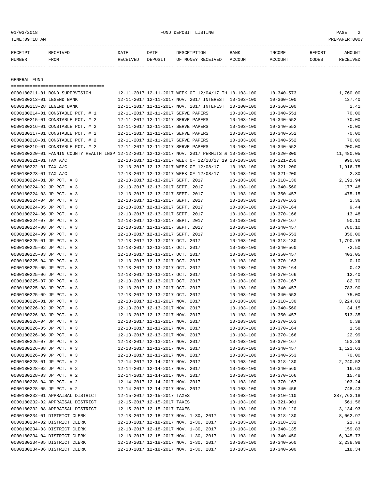01/03/2018 FUND DEPOSIT LISTING PAGE 2

| <b>RECEIPT</b> |      | DATE     | DATE    |                   | <b>BANK</b> | INCOME | REPORT | <b>MOTINT</b> |
|----------------|------|----------|---------|-------------------|-------------|--------|--------|---------------|
| NUMBER         | FROM | ਿੰਸ਼IVED | DEPOSTT | RECEIVED<br>MONEY | ACCOUNT     |        | MODES  |               |

------------- ------------------------- ---------- ---------- ------------------- -------------- -------------- ------ ------------

GENERAL FUND

| =====================================                                                        |                                  |                                                      |                  |                  |            |
|----------------------------------------------------------------------------------------------|----------------------------------|------------------------------------------------------|------------------|------------------|------------|
| 0000180211-01 BOND SUPERVISION                                                               |                                  | 12-11-2017 12-11-2017 WEEK OF 12/04/17 TH 10-103-100 |                  | $10 - 340 - 573$ | 1,760.00   |
| 0000180213-01 LEGEND BANK                                                                    |                                  | 12-11-2017 12-11-2017 NOV. 2017 INTEREST 10-103-100  |                  | $10 - 360 - 100$ | 137.40     |
| 0000180213-28 LEGEND BANK                                                                    |                                  | 12-11-2017 12-11-2017 NOV. 2017 INTEREST 10-100-100  |                  | $10 - 360 - 100$ | 2.41       |
| 0000180214-01 CONSTABLE PCT. # 1                                                             |                                  | 12-11-2017 12-11-2017 SERVE PAPERS                   | $10 - 103 - 100$ | $10 - 340 - 551$ | 70.00      |
| 0000180215-01 CONSTABLE PCT. # 2                                                             |                                  | 12-11-2017 12-11-2017 SERVE PAPERS                   | $10 - 103 - 100$ | $10 - 340 - 552$ | 70.00      |
| 0000180216-01 CONSTABLE PCT. # 2                                                             |                                  | 12-11-2017 12-11-2017 SERVE PAPERS                   | $10 - 103 - 100$ | $10 - 340 - 552$ | 70.00      |
| 0000180217-01 CONSTABLE PCT. # 2                                                             |                                  | 12-11-2017 12-11-2017 SERVE PAPERS                   | $10 - 103 - 100$ | $10 - 340 - 552$ | 70.00      |
| 0000180218-01 CONSTABLE PCT. # 2                                                             |                                  | 12-11-2017 12-11-2017 SERVE PAPERS                   | $10 - 103 - 100$ | $10 - 340 - 552$ | 70.00      |
| 0000180219-01 CONSTABLE PCT. # 2                                                             |                                  | 12-11-2017 12-11-2017 SERVE PAPERS                   | $10 - 103 - 100$ | $10 - 340 - 552$ | 200.00     |
| 0000180220-01 FANNIN COUNTY HEALTH INSP 12-12-2017 12-12-2017 NOV. 2017 PERMITS & 10-103-100 |                                  |                                                      |                  | $10 - 320 - 300$ | 11,480.05  |
| 0000180221-01 TAX A/C                                                                        |                                  | 12-13-2017 12-13-2017 WEEK OF 12/28/17 19 10-103-100 |                  | $10 - 321 - 250$ | 990.00     |
| 0000180222-01 TAX A/C                                                                        |                                  | 12-13-2017 12-13-2017 WEEK OF 12/08/17               | $10 - 103 - 100$ | $10 - 321 - 200$ | 1,916.75   |
| 0000180223-01 TAX A/C                                                                        |                                  | 12-13-2017 12-13-2017 WEEK OF 12/08/17               | $10 - 103 - 100$ | $10 - 321 - 200$ | 2.30       |
| 0000180224-01 JP PCT. # 3                                                                    | 12-13-2017 12-13-2017 SEPT. 2017 |                                                      | $10 - 103 - 100$ | $10 - 318 - 130$ | 2,191.94   |
| 0000180224-02 JP PCT. # 3                                                                    | 12-13-2017 12-13-2017 SEPT. 2017 |                                                      | $10 - 103 - 100$ | $10 - 340 - 560$ | 177.48     |
| 0000180224-03 JP PCT. # 3                                                                    | 12-13-2017 12-13-2017 SEPT. 2017 |                                                      | $10 - 103 - 100$ | $10 - 350 - 457$ | 475.15     |
| 0000180224-04 JP PCT. # 3                                                                    | 12-13-2017 12-13-2017 SEPT. 2017 |                                                      | $10 - 103 - 100$ | $10 - 370 - 163$ | 2.36       |
| 0000180224-05 JP PCT. # 3                                                                    | 12-13-2017 12-13-2017 SEPT. 2017 |                                                      | $10 - 103 - 100$ | $10 - 370 - 164$ | 9.44       |
| 0000180224-06 JP PCT. # 3                                                                    | 12-13-2017 12-13-2017 SEPT. 2017 |                                                      | $10 - 103 - 100$ | $10 - 370 - 166$ | 13.48      |
| 0000180224-07 JP PCT. # 3                                                                    | 12-13-2017 12-13-2017 SEPT. 2017 |                                                      | $10 - 103 - 100$ | $10 - 370 - 167$ | 90.10      |
| 0000180224-08 JP PCT. # 3                                                                    | 12-13-2017 12-13-2017 SEPT. 2017 |                                                      | $10 - 103 - 100$ | $10 - 340 - 457$ | 780.10     |
| 0000180224-09 JP PCT. # 3                                                                    | 12-13-2017 12-13-2017 SEPT. 2017 |                                                      | $10 - 103 - 100$ | $10 - 340 - 553$ | 350.00     |
| 0000180225-01 JP PCT. # 3                                                                    | 12-13-2017 12-13-2017 OCT. 2017  |                                                      | $10 - 103 - 100$ | $10 - 318 - 130$ | 1,790.78   |
| 0000180225-02 JP PCT. # 3                                                                    | 12-13-2017 12-13-2017 OCT. 2017  |                                                      | $10 - 103 - 100$ | $10 - 340 - 560$ | 72.50      |
| 0000180225-03 JP PCT. # 3                                                                    | 12-13-2017 12-13-2017 OCT. 2017  |                                                      | $10 - 103 - 100$ | $10 - 350 - 457$ | 403.05     |
| 0000180225-04 JP PCT. # 3                                                                    | 12-13-2017 12-13-2017 OCT. 2017  |                                                      | $10 - 103 - 100$ | $10 - 370 - 163$ | 0.10       |
| 0000180225-05 JP PCT. # 3                                                                    | 12-13-2017 12-13-2017 OCT. 2017  |                                                      | $10 - 103 - 100$ | $10 - 370 - 164$ | 0.42       |
| 0000180225-06 JP PCT. # 3                                                                    | 12-13-2017 12-13-2017 OCT. 2017  |                                                      | $10 - 103 - 100$ | $10 - 370 - 166$ | 12.40      |
| 0000180225-07 JP PCT. # 3                                                                    | 12-13-2017 12-13-2017 OCT. 2017  |                                                      | $10 - 103 - 100$ | $10 - 370 - 167$ | 82.70      |
| 0000180225-08 JP PCT. # 3                                                                    | 12-13-2017 12-13-2017 OCT. 2017  |                                                      | $10 - 103 - 100$ | $10 - 340 - 457$ | 783.90     |
| 0000180225-09 JP PCT. # 3                                                                    | 12-13-2017 12-13-2017 OCT. 2017  |                                                      | $10 - 103 - 100$ | $10 - 340 - 553$ | 75.00      |
| 0000180226-01 JP PCT. # 3                                                                    | 12-13-2017 12-13-2017 NOV. 2017  |                                                      | $10 - 103 - 100$ | $10 - 318 - 130$ | 3,224.83   |
| 0000180226-02 JP PCT. # 3                                                                    | 12-13-2017 12-13-2017 NOV. 2017  |                                                      | $10 - 103 - 100$ | $10 - 340 - 560$ | 34.15      |
| 0000180226-03 JP PCT. # 3                                                                    | 12-13-2017 12-13-2017 NOV. 2017  |                                                      | $10 - 103 - 100$ | $10 - 350 - 457$ | 513.35     |
| 0000180226-04 JP PCT. # 3                                                                    | 12-13-2017 12-13-2017 NOV. 2017  |                                                      | $10 - 103 - 100$ | $10 - 370 - 163$ | 0.39       |
| 0000180226-05 JP PCT. # 3                                                                    | 12-13-2017 12-13-2017 NOV. 2017  |                                                      | $10 - 103 - 100$ | $10 - 370 - 164$ | 1.58       |
| 0000180226-06 JP PCT. # 3                                                                    | 12-13-2017 12-13-2017 NOV. 2017  |                                                      | $10 - 103 - 100$ | $10 - 370 - 166$ | 22.99      |
| 0000180226-07 JP PCT. # 3                                                                    | 12-13-2017 12-13-2017 NOV. 2017  |                                                      | $10 - 103 - 100$ | $10 - 370 - 167$ | 153.29     |
| 0000180226-08 JP PCT. # 3                                                                    | 12-13-2017 12-13-2017 NOV. 2017  |                                                      | $10 - 103 - 100$ | $10 - 340 - 457$ | 1,121.63   |
| 0000180226-09 JP PCT. # 3                                                                    | 12-13-2017 12-13-2017 NOV. 2017  |                                                      | $10 - 103 - 100$ | $10 - 340 - 553$ | 70.00      |
| 0000180228-01 JP PCT. # 2                                                                    | 12-14-2017 12-14-2017 NOV. 2017  |                                                      | $10 - 103 - 100$ | $10 - 318 - 130$ | 2,240.52   |
| 0000180228-02 JP PCT. # 2                                                                    | 12-14-2017 12-14-2017 NOV. 2017  |                                                      | $10 - 103 - 100$ | $10 - 340 - 560$ | 16.63      |
| 0000180228-03 JP PCT. # 2                                                                    | 12-14-2017 12-14-2017 NOV. 2017  |                                                      | $10 - 103 - 100$ | $10 - 370 - 166$ | 15.48      |
| 0000180228-04 JP PCT. # 2                                                                    | 12-14-2017 12-14-2017 NOV. 2017  |                                                      | $10 - 103 - 100$ | 10-370-167       | 103.24     |
| 0000180228-05 JP PCT. # 2                                                                    | 12-14-2017 12-14-2017 NOV. 2017  |                                                      | $10 - 103 - 100$ | $10 - 340 - 456$ | 748.43     |
| 0000180232-01 APPRAISAL DISTRICT                                                             | 12-15-2017 12-15-2017 TAXES      |                                                      | $10 - 103 - 100$ | 10-310-110       | 287,763.18 |
| 0000180232-02 APPRAISAL DISTRICT                                                             | 12-15-2017 12-15-2017 TAXES      |                                                      | $10 - 103 - 100$ | $10 - 321 - 901$ | 561.56     |
| 0000180232-08 APPRAISAL DISTRICT                                                             | 12-15-2017 12-15-2017 TAXES      |                                                      | $10 - 103 - 100$ | $10 - 310 - 120$ | 3,134.93   |
| 0000180234-01 DISTRICT CLERK                                                                 |                                  | 12-18-2017 12-18-2017 NOV. 1-30, 2017                | $10 - 103 - 100$ | $10 - 318 - 130$ | 8,062.97   |
| 0000180234-02 DISTRICT CLERK                                                                 |                                  | 12-18-2017 12-18-2017 NOV. 1-30, 2017                | $10 - 103 - 100$ | $10 - 318 - 132$ | 21.73      |
| 0000180234-03 DISTRICT CLERK                                                                 |                                  | 12-18-2017 12-18-2017 NOV. 1-30, 2017                | $10 - 103 - 100$ | $10 - 340 - 135$ | 159.83     |
| 0000180234-04 DISTRICT CLERK                                                                 |                                  | 12-18-2017 12-18-2017 NOV. 1-30, 2017                | $10 - 103 - 100$ | $10 - 340 - 450$ | 6,945.73   |
| 0000180234-05 DISTRICT CLERK                                                                 |                                  | 12-18-2017 12-18-2017 NOV. 1-30, 2017                | $10 - 103 - 100$ | $10 - 340 - 560$ | 2,238.98   |
| 0000180234-06 DISTRICT CLERK                                                                 |                                  | 12-18-2017 12-18-2017 NOV. 1-30, 2017                | $10 - 103 - 100$ | $10 - 340 - 600$ | 118.34     |
|                                                                                              |                                  |                                                      |                  |                  |            |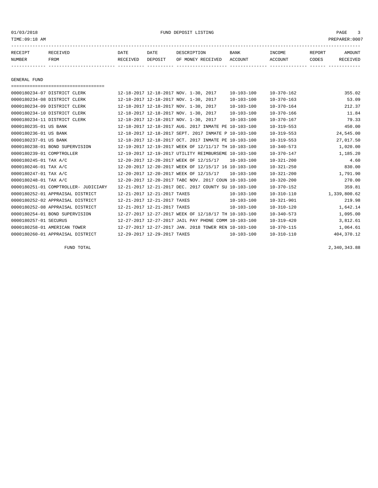01/03/2018 FUND DEPOSIT LISTING PAGE 3

| RECEIPT | <b>RECEIVED</b> | DATE     | DATE    | DESCRIPTION       | BANK    | <b>INCOME</b> | REPORT | <b>AMOUNT</b> |
|---------|-----------------|----------|---------|-------------------|---------|---------------|--------|---------------|
| NUMBER  | FROM            | RECEIVED | DEPOSIT | OF MONEY RECEIVED | ACCOUNT | ACCOUNT       | CODES  | RECEIVEL      |
|         |                 |          |         |                   |         |               |        |               |

GENERAL FUND

| ===================================== |                                                      |                  |                  |              |
|---------------------------------------|------------------------------------------------------|------------------|------------------|--------------|
| 0000180234-07 DISTRICT CLERK          | 12-18-2017 12-18-2017 NOV. 1-30, 2017                | $10 - 103 - 100$ | $10 - 370 - 162$ | 355.02       |
| 0000180234-08 DISTRICT CLERK          | 12-18-2017 12-18-2017 NOV. 1-30, 2017                | $10 - 103 - 100$ | $10 - 370 - 163$ | 53.09        |
| 0000180234-09 DISTRICT CLERK          | 12-18-2017 12-18-2017 NOV. 1-30, 2017                | $10 - 103 - 100$ | $10 - 370 - 164$ | 212.37       |
| 0000180234-10 DISTRICT CLERK          | 12-18-2017 12-18-2017 NOV. 1-30, 2017                | $10 - 103 - 100$ | $10 - 370 - 166$ | 11.84        |
| 0000180234-11 DISTRICT CLERK          | 12-18-2017 12-18-2017 NOV. 1-30, 2017                | $10 - 103 - 100$ | $10 - 370 - 167$ | 79.33        |
| 0000180235-01 US BANK                 | 12-18-2017 12-18-2017 AUG. 2017 INMATE PE 10-103-100 |                  | $10 - 319 - 553$ | 450.00       |
| 0000180236-01 US BANK                 | 12-18-2017 12-18-2017 SEPT. 2017 INMATE P 10-103-100 |                  | $10 - 319 - 553$ | 24,545.00    |
| 0000180237-01 US BANK                 | 12-18-2017 12-18-2017 OCT. 2017 INMATE PE 10-103-100 |                  | $10 - 319 - 553$ | 27,017.50    |
| 0000180238-01 BOND SUPERVISION        | 12-19-2017 12-19-2017 WEEK OF 12/11/17 TH 10-103-100 |                  | $10 - 340 - 573$ | 1,020.00     |
| 0000180239-01 COMPTROLLER             | 12-19-2017 12-19-2017 UTILITY REIMBURSEME 10-103-100 |                  | $10 - 370 - 147$ | 1,185.20     |
| 0000180245-01 TAX A/C                 | 12-20-2017 12-20-2017 WEEK OF 12/15/17               | $10 - 103 - 100$ | $10 - 321 - 200$ | 4.60         |
| 0000180246-01 TAX A/C                 | 12-20-2017 12-20-2017 WEEK OF 12/15/17 16 10-103-100 |                  | $10 - 321 - 250$ | 830.00       |
| 0000180247-01 TAX A/C                 | 12-20-2017 12-20-2017 WEEK OF 12/15/17               | $10 - 103 - 100$ | $10 - 321 - 200$ | 1,791.90     |
| 0000180248-01 TAX A/C                 | 12-20-2017 12-20-2017 TABC NOV. 2017 COUN 10-103-100 |                  | $10 - 320 - 200$ | 270.00       |
| 0000180251-01 COMPTROLLER- JUDICIARY  | 12-21-2017 12-21-2017 DEC. 2017 COUNTY SU 10-103-100 |                  | $10 - 370 - 152$ | 359.81       |
| 0000180252-01 APPRAISAL DISTRICT      | 12-21-2017 12-21-2017 TAXES                          | $10 - 103 - 100$ | $10 - 310 - 110$ | 1,339,800.62 |
| 0000180252-02 APPRAISAL DISTRICT      | 12-21-2017 12-21-2017 TAXES                          | $10 - 103 - 100$ | $10 - 321 - 901$ | 219.98       |
| 0000180252-08 APPRAISAL DISTRICT      | 12-21-2017 12-21-2017 TAXES                          | $10 - 103 - 100$ | $10 - 310 - 120$ | 1,642.14     |
| 0000180254-01 BOND SUPERVISION        | 12-27-2017 12-27-2017 WEEK OF 12/18/17 TH 10-103-100 |                  | $10 - 340 - 573$ | 1,095.00     |
| 0000180257-01 SECURUS                 | 12-27-2017 12-27-2017 JAIL PAY PHONE COMM 10-103-100 |                  | $10 - 319 - 420$ | 3,812.61     |
| 0000180258-01 AMERICAN TOWER          | 12-27-2017 12-27-2017 JAN. 2018 TOWER REN 10-103-100 |                  | $10 - 370 - 115$ | 1,064.61     |
| 0000180260-01 APPRAISAL DISTRICT      | 12-29-2017 12-29-2017 TAXES                          | $10 - 103 - 100$ | $10 - 310 - 110$ | 404, 370.12  |

FUND TOTAL 2,340,343.88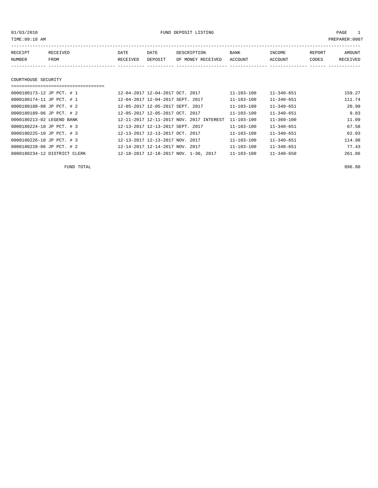01/03/2018 FUND DEPOSIT LISTING PAGE 1

| RECEIPT | RECEIVED | DATE     | DATE    | DESCRIPTION       | BANK    | INCOME  | REPORT | AMOUNT          |
|---------|----------|----------|---------|-------------------|---------|---------|--------|-----------------|
| NUMBER  | FROM     | RECEIVED | DEPOSIT | OF MONEY RECEIVED | ACCOUNT | ACCOUNT | CODES  | <b>RECEIVED</b> |
|         |          |          |         |                   |         |         |        |                 |

#### COURTHOUSE SECURITY

#### ===================================

| 0000180173-12 JP PCT. # 1    | 12-04-2017 12-04-2017 OCT. 2017          | $11 - 103 - 100$ | $11 - 340 - 651$ | 159.27 |
|------------------------------|------------------------------------------|------------------|------------------|--------|
| 0000180174-11 JP PCT. # 1    | 12-04-2017 12-04-2017 SEPT. 2017         | $11 - 103 - 100$ | $11 - 340 - 651$ | 111.74 |
| 0000180188-08 JP PCT. # 2    | 12-05-2017 12-05-2017 SEPT. 2017         | $11 - 103 - 100$ | $11 - 340 - 651$ | 20.99  |
| 0000180189-06 JP PCT. # 2    | 12-05-2017 12-05-2017 OCT. 2017          | $11 - 103 - 100$ | $11 - 340 - 651$ | 9.83   |
| 0000180213-02 LEGEND BANK    | 12-11-2017 12-11-2017 NOV. 2017 INTEREST | $11 - 103 - 100$ | 11-360-100       | 11.09  |
| 0000180224-10 JP PCT. # 3    | 12-13-2017 12-13-2017 SEPT. 2017         | $11 - 103 - 100$ | $11 - 340 - 651$ | 67.58  |
| 0000180225-10 JP PCT. # 3    | 12-13-2017 12-13-2017 OCT. 2017          | $11 - 103 - 100$ | $11 - 340 - 651$ | 62.03  |
| 0000180226-10 JP PCT. # 3    | 12-13-2017 12-13-2017 NOV. 2017          | $11 - 103 - 100$ | $11 - 340 - 651$ | 114.98 |
| 0000180228-06 JP PCT. # 2    | 12-14-2017 12-14-2017 NOV. 2017          | $11 - 103 - 100$ | $11 - 340 - 651$ | 77.43  |
| 0000180234-12 DISTRICT CLERK | 12-18-2017 12-18-2017 NOV. 1-30, 2017    | $11 - 103 - 100$ | $11 - 340 - 650$ | 261.86 |

FUND TOTAL 896.80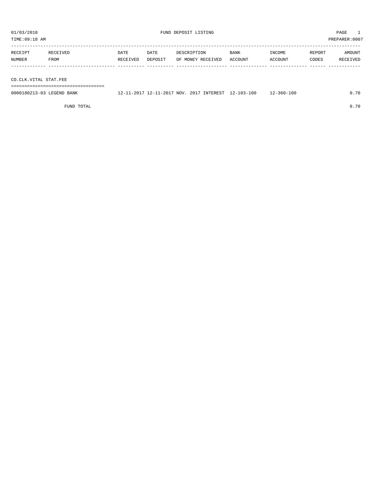| 01/03/2018<br>TIME:09:18 AM |                       |          |         | FUND DEPOSIT LISTING | PAGE<br>PREPARER: 0007 |         |        |          |  |
|-----------------------------|-----------------------|----------|---------|----------------------|------------------------|---------|--------|----------|--|
|                             |                       |          |         |                      |                        |         |        |          |  |
| RECEIPT                     | RECEIVED              | DATE     | DATE    | DESCRIPTION          | BANK                   | INCOME  | REPORT | AMOUNT   |  |
| NUMBER                      | FROM                  | RECEIVED | DEPOSIT | OF MONEY RECEIVED    | ACCOUNT                | ACCOUNT | CODES  | RECEIVED |  |
|                             |                       |          |         |                      |                        |         |        |          |  |
|                             |                       |          |         |                      |                        |         |        |          |  |
|                             | CO.CLK.VITAL STAT.FEE |          |         |                      |                        |         |        |          |  |

===================================

0000180213-03 LEGEND BANK 12-11-2017 12-11-2017 NOV. 2017 INTEREST 12-103-100 12-360-100 0.70

FUND TOTAL 0.70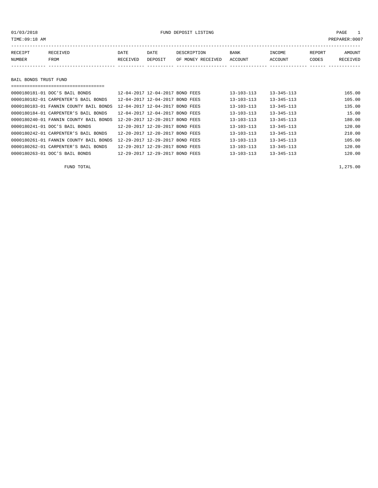### 01/03/2018 FUND DEPOSIT LISTING PAGE 1

| RECEIPT | RECEIVED              | DATE     | DATE    | DESCRIPTION       | BANK    | INCOME  | REPORT | AMOUNT   |  |  |
|---------|-----------------------|----------|---------|-------------------|---------|---------|--------|----------|--|--|
| NUMBER  | FROM                  | RECEIVED | DEPOSIT | OF MONEY RECEIVED | ACCOUNT | ACCOUNT | CODES  | RECEIVED |  |  |
|         |                       |          |         |                   |         |         |        |          |  |  |
|         |                       |          |         |                   |         |         |        |          |  |  |
|         | BAIL BONDS TRUST FUND |          |         |                   |         |         |        |          |  |  |
|         |                       |          |         |                   |         |         |        |          |  |  |

| 0000180181-01 DOC'S BAIL BONDS         | 12-04-2017 12-04-2017 BOND FEES                | $13 - 103 - 113$ | $13 - 345 - 113$ | 165.00 |
|----------------------------------------|------------------------------------------------|------------------|------------------|--------|
| 0000180182-01 CARPENTER'S BAIL BONDS   | 12-04-2017 12-04-2017 BOND FEES                | $13 - 103 - 113$ | $13 - 345 - 113$ | 105.00 |
| 0000180183-01 FANNIN COUNTY BAIL BONDS | 12-04-2017 12-04-2017 BOND FEES                | $13 - 103 - 113$ | $13 - 345 - 113$ | 135.00 |
| 0000180184-01 CARPENTER'S BAIL BONDS   | 12-04-2017 12-04-2017 BOND FEES                | $13 - 103 - 113$ | $13 - 345 - 113$ | 15.00  |
| 0000180240-01 FANNIN COUNTY BAIL BONDS | 12-20-2017 12-20-2017 BOND FEES                | $13 - 103 - 113$ | $13 - 345 - 113$ | 180.00 |
| 0000180241-01 DOC'S BAIL BONDS         | 12-20-2017 12-20-2017 BOND FEES                | $13 - 103 - 113$ | $13 - 345 - 113$ | 120.00 |
| 0000180242-01 CARPENTER'S BAIL BONDS   | 12-20-2017 12-20-2017 BOND FEES                | $13 - 103 - 113$ | $13 - 345 - 113$ | 210.00 |
| 0000180261-01 FANNIN COUNTY BAIL BONDS | 12-29-2017 12-29-2017 BOND FEES                | $13 - 103 - 113$ | $13 - 345 - 113$ | 105.00 |
| 0000180262-01 CARPENTER'S BAIL BONDS   | 12-29-2017 12-29-2017 BOND FEES                | $13 - 103 - 113$ | $13 - 345 - 113$ | 120.00 |
| 0000180263-01 DOC'S BAIL BONDS         | $12 - 29 - 2017$ $12 - 29 - 2017$<br>BOND FEES | $13 - 103 - 113$ | $13 - 345 - 113$ | 120.00 |

FUND TOTAL  $1,275.00$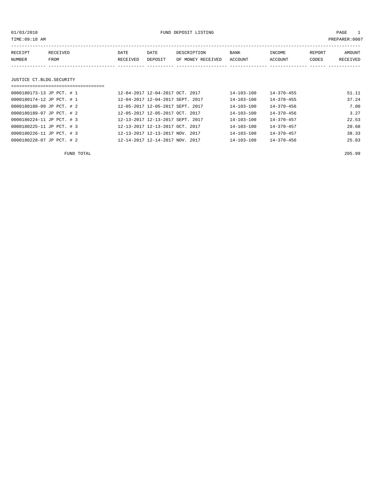| TIME: 09:18 AM<br>PREPARER: 0007 |                           |                                  |         |                   |                  |                  |        |          |  |  |
|----------------------------------|---------------------------|----------------------------------|---------|-------------------|------------------|------------------|--------|----------|--|--|
| RECEIPT                          | <b>RECEIVED</b>           | DATE                             | DATE    | DESCRIPTION       | BANK             | INCOME           | REPORT | AMOUNT   |  |  |
| NUMBER                           | FROM                      | RECEIVED                         | DEPOSIT | OF MONEY RECEIVED | ACCOUNT          | ACCOUNT          | CODES  | RECEIVED |  |  |
|                                  |                           |                                  |         |                   |                  |                  |        |          |  |  |
|                                  | JUSTICE CT.BLDG.SECURITY  |                                  |         |                   |                  |                  |        |          |  |  |
|                                  | 0000180173-13 JP PCT. # 1 | 12-04-2017 12-04-2017 OCT. 2017  |         |                   | $14 - 103 - 100$ | $14 - 370 - 455$ |        | 51.11    |  |  |
|                                  | 0000180174-12 JP PCT. # 1 | 12-04-2017 12-04-2017 SEPT. 2017 |         |                   | $14 - 103 - 100$ | $14 - 370 - 455$ |        | 37.24    |  |  |
|                                  | 0000180188-09 JP PCT. # 2 | 12-05-2017 12-05-2017 SEPT. 2017 |         |                   | $14 - 103 - 100$ | $14 - 370 - 456$ |        | 7.00     |  |  |
|                                  | 0000180189-07 JP PCT. # 2 | 12-05-2017 12-05-2017 OCT. 2017  |         |                   | $14 - 103 - 100$ | $14 - 370 - 456$ |        | 3.27     |  |  |

0000180224-11 JP PCT. # 3 12-13-2017 12-13-2017 SEPT. 2017 14-103-100 14-370-457 22.53

| FUND TOTAL                |                                 |                  |                  | 205.99 |
|---------------------------|---------------------------------|------------------|------------------|--------|
| 0000180228-07 JP PCT. # 2 | 12-14-2017 12-14-2017 NOV. 2017 | $14 - 103 - 100$ | $14 - 370 - 456$ | 25.83  |
| 0000180226-11 JP PCT. # 3 | 12-13-2017 12-13-2017 NOV. 2017 | $14 - 103 - 100$ | $14 - 370 - 457$ | 38.33  |
| 0000180225-11 JP PCT. # 3 | 12-13-2017 12-13-2017 OCT. 2017 | $14 - 103 - 100$ | $14 - 370 - 457$ | 20.68  |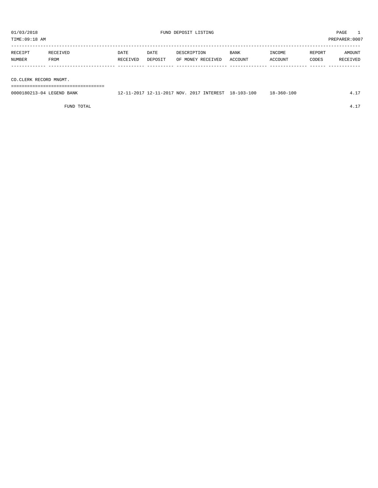| TIME:09:18 AM          |                           |                  |                 |                                          |                        |                   |                 | PREPARER:0007      |
|------------------------|---------------------------|------------------|-----------------|------------------------------------------|------------------------|-------------------|-----------------|--------------------|
| RECEIPT<br>NUMBER      | RECEIVED<br>FROM          | DATE<br>RECEIVED | DATE<br>DEPOSIT | DESCRIPTION<br>OF MONEY RECEIVED         | <b>BANK</b><br>ACCOUNT | INCOME<br>ACCOUNT | REPORT<br>CODES | AMOUNT<br>RECEIVED |
| CO.CLERK RECORD MNGMT. |                           |                  |                 |                                          |                        |                   |                 |                    |
|                        | 0000180213-04 LEGEND BANK |                  |                 | 12-11-2017 12-11-2017 NOV. 2017 INTEREST | 18-103-100             | 18-360-100        |                 | 4.17               |

FUND TOTAL  $4.17$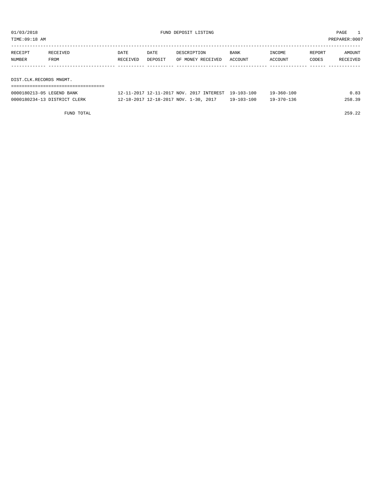| TIME:09:18 AM     |                         |                  |                 |                                  |                        |                   |                 | PREPARER:0007      |  |
|-------------------|-------------------------|------------------|-----------------|----------------------------------|------------------------|-------------------|-----------------|--------------------|--|
| RECEIPT<br>NUMBER | RECEIVED<br>FROM        | DATE<br>RECEIVED | DATE<br>DEPOSIT | DESCRIPTION<br>OF MONEY RECEIVED | <b>BANK</b><br>ACCOUNT | INCOME<br>ACCOUNT | REPORT<br>CODES | AMOUNT<br>RECEIVED |  |
|                   |                         |                  |                 |                                  |                        |                   |                 |                    |  |
|                   | DIST.CLK.RECORDS MNGMT. |                  |                 |                                  |                        |                   |                 |                    |  |
|                   |                         |                  |                 |                                  |                        |                   |                 |                    |  |

| 0000180213-05 LEGEND BANK    | 12-11-2017 12-11-2017 NOV. 2017 INTEREST 19-103-100 | 19-360-100                           | 0.83   |
|------------------------------|-----------------------------------------------------|--------------------------------------|--------|
| 0000180234-13 DISTRICT CLERK | 12-18-2017 12-18-2017 NOV. 1-30, 2017               | $19 - 103 - 100$<br>$19 - 370 - 136$ | 258.39 |

FUND TOTAL 259.22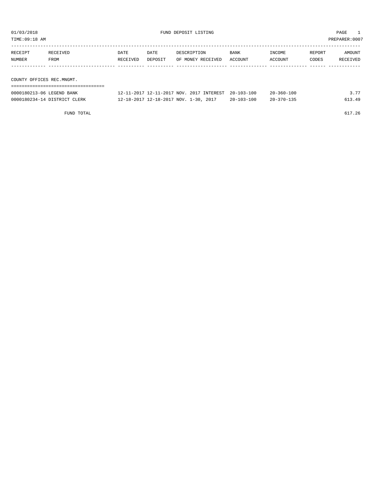| TIME:09:18 AM              |          |          |                           |                          |         |              |        | PREPARER:0007 |
|----------------------------|----------|----------|---------------------------|--------------------------|---------|--------------|--------|---------------|
| RECEIPT                    | RECEIVED | DATE     | DATE                      | DESCRIPTION              | BANK    | INCOME       | REPORT | AMOUNT        |
| NUMBER                     | FROM     | RECEIVED | DEPOSIT                   | OF MONEY RECEIVED        | ACCOUNT | ACCOUNT      | CODES  | RECEIVED      |
|                            |          |          |                           |                          |         |              |        |               |
| COUNTY OFFICES REC.MNGMT.  |          |          |                           |                          |         |              |        |               |
|                            |          |          |                           |                          |         |              |        |               |
| COOLIDOSIS OF IRCENTE BANK |          |          | 12 11 2017 12 11 2017 NOV | 2017 TNTEDECT 20 102 100 |         | 20, 250, 100 |        | 2.77          |

| 0000180213-06 LEGEND BANK    | 12-11-2017 12-11-2017 NOV. 2017 INTEREST 20-103-100 |                  | $20 - 360 - 100$ | דד כ   |
|------------------------------|-----------------------------------------------------|------------------|------------------|--------|
| 0000180234-14 DISTRICT CLERK | 12-18-2017 12-18-2017 NOV. 1-30, 2017               | $20 - 103 - 100$ | $20 - 370 - 135$ | 513.49 |

FUND TOTAL 617.26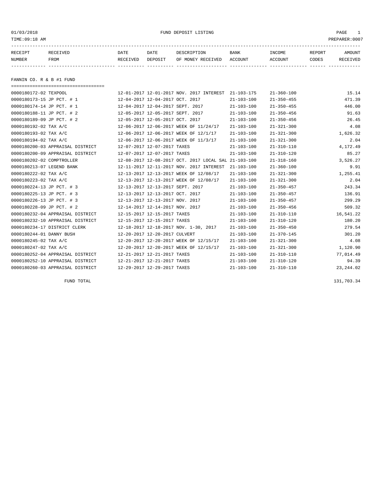01/03/2018 FUND DEPOSIT LISTING PAGE 1

| RECEIPT | <b>RECEIVED</b> | DATE     | DATE    | DESCRIPTION       | <b>BANK</b> | INCOME  | REPORT | AMOUNT          |
|---------|-----------------|----------|---------|-------------------|-------------|---------|--------|-----------------|
| NUMBER  | FROM            | RECEIVED | DEPOSIT | OF MONEY RECEIVED | ACCOUNT     | ACCOUNT | CODES  | <b>RECEIVED</b> |
|         |                 |          |         |                   |             |         |        |                 |

FANNIN CO. R & B #1 FUND

| ===================================== |                                                      |                  |                  |            |
|---------------------------------------|------------------------------------------------------|------------------|------------------|------------|
| 0000180172-02 TEXPOOL                 | 12-01-2017 12-01-2017 NOV. 2017 INTEREST             | 21-103-175       | $21 - 360 - 100$ | 15.14      |
| 0000180173-15 JP PCT. # 1             | 12-04-2017 12-04-2017 OCT. 2017                      | $21 - 103 - 100$ | $21 - 350 - 455$ | 471.39     |
| 0000180174-14 JP PCT. # 1             | 12-04-2017 12-04-2017 SEPT. 2017                     | $21 - 103 - 100$ | $21 - 350 - 455$ | 446.00     |
| 0000180188-11 JP PCT. # 2             | 12-05-2017 12-05-2017 SEPT. 2017                     | $21 - 103 - 100$ | $21 - 350 - 456$ | 91.63      |
| 0000180189-09 JP PCT. # 2             | 12-05-2017 12-05-2017 OCT. 2017                      | $21 - 103 - 100$ | $21 - 350 - 456$ | 26.45      |
| 0000180192-02 TAX A/C                 | 12-06-2017 12-06-2017 WEEK OF 11/24/17               | $21 - 103 - 100$ | $21 - 321 - 300$ | 4.08       |
| 0000180193-02 TAX A/C                 | 12-06-2017 12-06-2017 WEEK OF 12/1/17                | $21 - 103 - 100$ | $21 - 321 - 300$ | 1,626.32   |
| 0000180194-02 TAX A/C                 | 12-06-2017 12-06-2017 WEEK OF 11/3/17                | $21 - 103 - 100$ | $21 - 321 - 300$ | 2.04       |
| 0000180200-03 APPRAISAL DISTRICT      | 12-07-2017 12-07-2017 TAXES                          | $21 - 103 - 100$ | $21 - 310 - 110$ | 4,172.49   |
| 0000180200-09 APPRAISAL DISTRICT      | 12-07-2017 12-07-2017 TAXES                          | $21 - 103 - 100$ | $21 - 310 - 120$ | 85.27      |
| 0000180202-02 COMPTROLLER             | 12-08-2017 12-08-2017 OCT. 2017 LOCAL SAL 21-103-100 |                  | $21 - 318 - 160$ | 3,526.27   |
| 0000180213-07 LEGEND BANK             | 12-11-2017 12-11-2017 NOV. 2017 INTEREST             | $21 - 103 - 100$ | $21 - 360 - 100$ | 9.91       |
| 0000180222-02 TAX A/C                 | 12-13-2017 12-13-2017 WEEK OF 12/08/17               | $21 - 103 - 100$ | $21 - 321 - 300$ | 1,255.41   |
| 0000180223-02 TAX A/C                 | 12-13-2017 12-13-2017 WEEK OF 12/08/17               | $21 - 103 - 100$ | $21 - 321 - 300$ | 2.04       |
| 0000180224-13 JP PCT. # 3             | 12-13-2017 12-13-2017 SEPT. 2017                     | $21 - 103 - 100$ | $21 - 350 - 457$ | 243.34     |
| 0000180225-13 JP PCT. # 3             | 12-13-2017 12-13-2017 OCT. 2017                      | $21 - 103 - 100$ | $21 - 350 - 457$ | 136.91     |
| 0000180226-13 JP PCT. # 3             | 12-13-2017 12-13-2017 NOV. 2017                      | $21 - 103 - 100$ | $21 - 350 - 457$ | 299.29     |
| 0000180228-09 JP PCT. # 2             | 12-14-2017 12-14-2017 NOV. 2017                      | $21 - 103 - 100$ | $21 - 350 - 456$ | 509.32     |
| 0000180232-04 APPRAISAL DISTRICT      | 12-15-2017 12-15-2017 TAXES                          | $21 - 103 - 100$ | $21 - 310 - 110$ | 16,541.22  |
| 0000180232-10 APPRAISAL DISTRICT      | 12-15-2017 12-15-2017 TAXES                          | $21 - 103 - 100$ | $21 - 310 - 120$ | 180.20     |
| 0000180234-17 DISTRICT CLERK          | 12-18-2017 12-18-2017 NOV. 1-30, 2017                | $21 - 103 - 100$ | $21 - 350 - 450$ | 279.54     |
| 0000180244-01 DANNY BUSH              | 12-20-2017 12-20-2017 CULVERT                        | $21 - 103 - 100$ | $21 - 370 - 145$ | 301.20     |
| 0000180245-02 TAX A/C                 | 12-20-2017 12-20-2017 WEEK OF 12/15/17               | $21 - 103 - 100$ | $21 - 321 - 300$ | 4.08       |
| 0000180247-02 TAX A/C                 | 12-20-2017 12-20-2017 WEEK OF 12/15/17               | $21 - 103 - 100$ | $21 - 321 - 300$ | 1,120.90   |
| 0000180252-04 APPRAISAL DISTRICT      | 12-21-2017 12-21-2017 TAXES                          | $21 - 103 - 100$ | $21 - 310 - 110$ | 77,014.49  |
| 0000180252-10 APPRAISAL DISTRICT      | 12-21-2017 12-21-2017 TAXES                          | $21 - 103 - 100$ | $21 - 310 - 120$ | 94.39      |
| 0000180260-03 APPRAISAL DISTRICT      | 12-29-2017 12-29-2017 TAXES                          | $21 - 103 - 100$ | $21 - 310 - 110$ | 23, 244.02 |

FUND TOTAL 131,703.34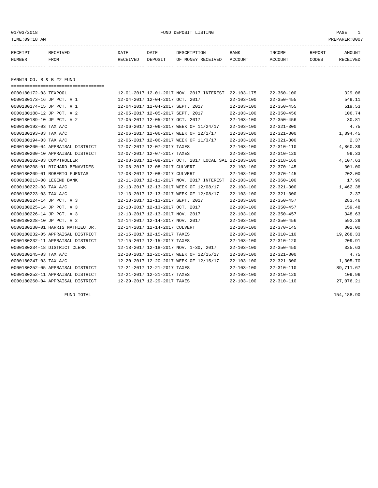01/03/2018 FUND DEPOSIT LISTING PAGE 1

| RECEIPT | <b>RECEIVED</b> | DATE     | DATE    | DESCRIPTION          | <b>BANK</b>    | INCOME  | <b>REPORT</b> | AMOUNT          |
|---------|-----------------|----------|---------|----------------------|----------------|---------|---------------|-----------------|
| NUMBER  | FROM            | RECEIVED | DEPOSIT | RECEIVED<br>OF MONEY | <b>ACCOUNT</b> | ACCOUNT | CODES         | <b>RECEIVED</b> |
|         |                 |          |         |                      |                |         |               |                 |

FANNIN CO. R & B #2 FUND

| ===================================== |                                                      |                  |                  |           |
|---------------------------------------|------------------------------------------------------|------------------|------------------|-----------|
| 0000180172-03 TEXPOOL                 | 12-01-2017 12-01-2017 NOV. 2017 INTEREST 22-103-175  |                  | $22 - 360 - 100$ | 329.06    |
| 0000180173-16 JP PCT. # 1             | 12-04-2017 12-04-2017 OCT. 2017                      | $22 - 103 - 100$ | $22 - 350 - 455$ | 549.11    |
| 0000180174-15 JP PCT. # 1             | 12-04-2017 12-04-2017 SEPT. 2017                     | $22 - 103 - 100$ | $22 - 350 - 455$ | 519.53    |
| 0000180188-12 JP PCT. # 2             | 12-05-2017 12-05-2017 SEPT. 2017                     | $22 - 103 - 100$ | $22 - 350 - 456$ | 106.74    |
| 0000180189-10 JP PCT. # 2             | 12-05-2017 12-05-2017 OCT. 2017                      | $22 - 103 - 100$ | $22 - 350 - 456$ | 30.81     |
| 0000180192-03 TAX A/C                 | 12-06-2017 12-06-2017 WEEK OF 11/24/17               | $22 - 103 - 100$ | $22 - 321 - 300$ | 4.75      |
| 0000180193-03 TAX A/C                 | 12-06-2017 12-06-2017 WEEK OF 12/1/17                | $22 - 103 - 100$ | $22 - 321 - 300$ | 1,894.45  |
| 0000180194-03 TAX A/C                 | 12-06-2017 12-06-2017 WEEK OF 11/3/17                | $22 - 103 - 100$ | $22 - 321 - 300$ | 2.37      |
| 0000180200-04 APPRAISAL DISTRICT      | 12-07-2017 12-07-2017 TAXES                          | $22 - 103 - 100$ | $22 - 310 - 110$ | 4,860.39  |
| 0000180200-10 APPRAISAL DISTRICT      | 12-07-2017 12-07-2017 TAXES                          | $22 - 103 - 100$ | $22 - 310 - 120$ | 99.33     |
| 0000180202-03 COMPTROLLER             | 12-08-2017 12-08-2017 OCT. 2017 LOCAL SAL 22-103-100 |                  | $22 - 318 - 160$ | 4,107.63  |
| 0000180208-01 RICHARD BENAVIDES       | 12-08-2017 12-08-2017 CULVERT                        | $22 - 103 - 100$ | $22 - 370 - 145$ | 301.00    |
| 0000180209-01 ROBERTO FUENTAS         | 12-08-2017 12-08-2017 CULVERT                        | $22 - 103 - 100$ | $22 - 370 - 145$ | 202.00    |
| 0000180213-08 LEGEND BANK             | 12-11-2017 12-11-2017 NOV. 2017 INTEREST             | $22 - 103 - 100$ | $22 - 360 - 100$ | 17.96     |
| 0000180222-03 TAX A/C                 | 12-13-2017 12-13-2017 WEEK OF 12/08/17               | $22 - 103 - 100$ | $22 - 321 - 300$ | 1,462.38  |
| 0000180223-03 TAX A/C                 | 12-13-2017 12-13-2017 WEEK OF 12/08/17               | $22 - 103 - 100$ | $22 - 321 - 300$ | 2.37      |
| 0000180224-14 JP PCT. # 3             | 12-13-2017 12-13-2017 SEPT. 2017                     | $22 - 103 - 100$ | $22 - 350 - 457$ | 283.46    |
| 0000180225-14 JP PCT. # 3             | 12-13-2017 12-13-2017 OCT. 2017                      | $22 - 103 - 100$ | $22 - 350 - 457$ | 159.48    |
| 0000180226-14 JP PCT. # 3             | 12-13-2017 12-13-2017 NOV. 2017                      | $22 - 103 - 100$ | $22 - 350 - 457$ | 348.63    |
| 0000180228-10 JP PCT. # 2             | 12-14-2017 12-14-2017 NOV. 2017                      | $22 - 103 - 100$ | $22 - 350 - 456$ | 593.29    |
| 0000180230-01 HARRIS MATHIEU JR.      | 12-14-2017 12-14-2017 CULVERT                        | $22 - 103 - 100$ | $22 - 370 - 145$ | 302.00    |
| 0000180232-05 APPRAISAL DISTRICT      | 12-15-2017 12-15-2017 TAXES                          | $22 - 103 - 100$ | $22 - 310 - 110$ | 19,268.33 |
| 0000180232-11 APPRAISAL DISTRICT      | 12-15-2017 12-15-2017 TAXES                          | $22 - 103 - 100$ | $22 - 310 - 120$ | 209.91    |
| 0000180234-18 DISTRICT CLERK          | 12-18-2017 12-18-2017 NOV. 1-30, 2017                | $22 - 103 - 100$ | $22 - 350 - 450$ | 325.63    |
| 0000180245-03 TAX A/C                 | 12-20-2017 12-20-2017 WEEK OF 12/15/17               | $22 - 103 - 100$ | $22 - 321 - 300$ | 4.75      |
| 0000180247-03 TAX A/C                 | 12-20-2017 12-20-2017 WEEK OF 12/15/17               | $22 - 103 - 100$ | $22 - 321 - 300$ | 1,305.70  |
| 0000180252-05 APPRAISAL DISTRICT      | 12-21-2017 12-21-2017 TAXES                          | $22 - 103 - 100$ | $22 - 310 - 110$ | 89,711.67 |
| 0000180252-11 APPRAISAL DISTRICT      | 12-21-2017 12-21-2017 TAXES                          | $22 - 103 - 100$ | $22 - 310 - 120$ | 109.96    |
| 0000180260-04 APPRAISAL DISTRICT      | 12-29-2017 12-29-2017 TAXES                          | $22 - 103 - 100$ | $22 - 310 - 110$ | 27,076.21 |

FUND TOTAL 154,188.90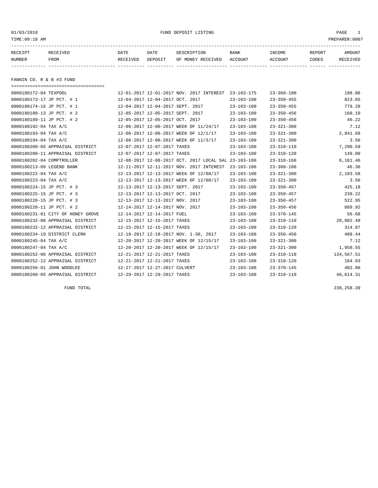01/03/2018 FUND DEPOSIT LISTING PAGE 1

| RECEIPT | <b>RECEIVED</b> | DATE     | DATE    | DESCRIPTION       | <b>BANK</b> | <b>INCOME</b> | REPORT | AMOUNT          |
|---------|-----------------|----------|---------|-------------------|-------------|---------------|--------|-----------------|
| NUMBER  | FROM            | RECEIVED | DEPOSIT | OF MONEY RECEIVED | ACCOUNT     | ACCOUNT       | CODES  | <b>RECEIVED</b> |
|         |                 |          |         |                   |             |               |        |                 |

FANNIN CO. R & B #3 FUND

| ====================================== |                                                      |                  |                  |            |
|----------------------------------------|------------------------------------------------------|------------------|------------------|------------|
| 0000180172-04 TEXPOOL                  | 12-01-2017 12-01-2017 NOV. 2017 INTEREST 23-103-175  |                  | $23 - 360 - 100$ | 198.06     |
| 0000180173-17 JP PCT. # 1              | 12-04-2017 12-04-2017 OCT. 2017                      | $23 - 103 - 100$ | $23 - 350 - 455$ | 823.65     |
| 0000180174-16 JP PCT. # 1              | 12-04-2017 12-04-2017 SEPT. 2017                     | $23 - 103 - 100$ | $23 - 350 - 455$ | 779.28     |
| 0000180188-13 JP PCT. # 2              | 12-05-2017 12-05-2017 SEPT. 2017                     | $23 - 103 - 100$ | $23 - 350 - 456$ | 160.10     |
| 0000180189-11 JP PCT. # 2              | 12-05-2017 12-05-2017 OCT. 2017                      | $23 - 103 - 100$ | $23 - 350 - 456$ | 46.22      |
| 0000180192-04 TAX A/C                  | 12-06-2017 12-06-2017 WEEK OF 11/24/17               | $23 - 103 - 100$ | $23 - 321 - 300$ | 7.12       |
| 0000180193-04 TAX A/C                  | 12-06-2017 12-06-2017 WEEK OF 12/1/17                | $23 - 103 - 100$ | $23 - 321 - 300$ | 2,841.68   |
| 0000180194-04 TAX A/C                  | 12-06-2017 12-06-2017 WEEK OF 11/3/17                | $23 - 103 - 100$ | $23 - 321 - 300$ | 3.56       |
| 0000180200-05 APPRAISAL DISTRICT       | 12-07-2017 12-07-2017 TAXES                          | $23 - 103 - 100$ | $23 - 310 - 110$ | 7,290.59   |
| 0000180200-11 APPRAISAL DISTRICT       | 12-07-2017 12-07-2017 TAXES                          | $23 - 103 - 100$ | $23 - 310 - 120$ | 149.00     |
| 0000180202-04 COMPTROLLER              | 12-08-2017 12-08-2017 OCT. 2017 LOCAL SAL 23-103-100 |                  | $23 - 318 - 160$ | 6,161.46   |
| 0000180213-09 LEGEND BANK              | 12-11-2017 12-11-2017 NOV. 2017 INTEREST             | $23 - 103 - 100$ | $23 - 360 - 100$ | 46.36      |
| 0000180222-04 TAX A/C                  | 12-13-2017 12-13-2017 WEEK OF 12/08/17               | $23 - 103 - 100$ | $23 - 321 - 300$ | 2,193.58   |
| 0000180223-04 TAX A/C                  | 12-13-2017 12-13-2017 WEEK OF 12/08/17               | $23 - 103 - 100$ | $23 - 321 - 300$ | 3.56       |
| 0000180224-15 JP PCT. # 3              | 12-13-2017 12-13-2017 SEPT. 2017                     | $23 - 103 - 100$ | $23 - 350 - 457$ | 425.18     |
| 0000180225-15 JP PCT. # 3              | 12-13-2017 12-13-2017 OCT. 2017                      | $23 - 103 - 100$ | $23 - 350 - 457$ | 239.22     |
| 0000180226-15 JP PCT. # 3              | 12-13-2017 12-13-2017 NOV. 2017                      | $23 - 103 - 100$ | $23 - 350 - 457$ | 522.95     |
| 0000180228-11 JP PCT. # 2              | 12-14-2017 12-14-2017 NOV. 2017                      | $23 - 103 - 100$ | $23 - 350 - 456$ | 889.92     |
| 0000180231-01 CITY OF HONEY GROVE      | 12-14-2017 12-14-2017 FUEL                           | $23 - 103 - 100$ | $23 - 370 - 145$ | 56.68      |
| 0000180232-06 APPRAISAL DISTRICT       | 12-15-2017 12-15-2017 TAXES                          | $23 - 103 - 100$ | $23 - 310 - 110$ | 28,902.49  |
| 0000180232-12 APPRAISAL DISTRICT       | 12-15-2017 12-15-2017 TAXES                          | $23 - 103 - 100$ | $23 - 310 - 120$ | 314.87     |
| 0000180234-19 DISTRICT CLERK           | 12-18-2017 12-18-2017 NOV. 1-30, 2017                | $23 - 103 - 100$ | $23 - 350 - 450$ | 488.44     |
| 0000180245-04 TAX A/C                  | 12-20-2017 12-20-2017 WEEK OF 12/15/17               | $23 - 103 - 100$ | $23 - 321 - 300$ | 7.12       |
| 0000180247-04 TAX A/C                  | 12-20-2017 12-20-2017 WEEK OF 12/15/17               | $23 - 103 - 100$ | $23 - 321 - 300$ | 1,958.55   |
| 0000180252-06 APPRAISAL DISTRICT       | 12-21-2017 12-21-2017 TAXES                          | $23 - 103 - 100$ | $23 - 310 - 110$ | 134,567.51 |
| 0000180252-12 APPRAISAL DISTRICT       | 12-21-2017 12-21-2017 TAXES                          | $23 - 103 - 100$ | $23 - 310 - 120$ | 164.93     |
| 0000180256-01 JOHN WOODLEE             | 12-27-2017 12-27-2017 CULVERT                        | $23 - 103 - 100$ | $23 - 370 - 145$ | 402.00     |
| 0000180260-05 APPRAISAL DISTRICT       | 12-29-2017 12-29-2017 TAXES                          | $23 - 103 - 100$ | $23 - 310 - 110$ | 40,614.31  |

FUND TOTAL 230,258.39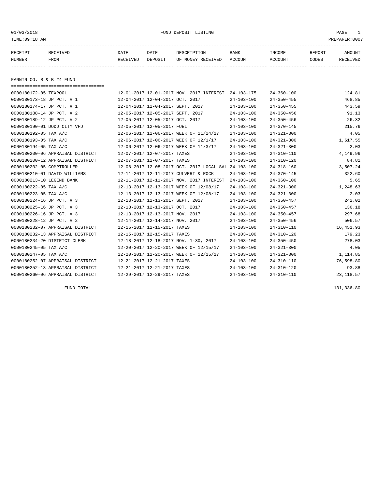01/03/2018 FUND DEPOSIT LISTING PAGE 1

| RECEIPT | <b>RECEIVED</b> | DATE     | DATE    | DESCRIPTION       | <b>BANK</b> | <b>INCOME</b> | REPORT | AMOUNT          |
|---------|-----------------|----------|---------|-------------------|-------------|---------------|--------|-----------------|
| NUMBER  | FROM            | RECEIVED | DEPOSIT | OF MONEY RECEIVED | ACCOUNT     | ACCOUNT       | CODES  | <b>RECEIVED</b> |
|         |                 |          |         |                   |             |               |        |                 |

FANNIN CO. R & B #4 FUND

| ===================================== |                                                      |                  |                  |            |
|---------------------------------------|------------------------------------------------------|------------------|------------------|------------|
| 0000180172-05 TEXPOOL                 | 12-01-2017 12-01-2017 NOV. 2017 INTEREST 24-103-175  |                  | $24 - 360 - 100$ | 124.81     |
| 0000180173-18 JP PCT. # 1             | 12-04-2017 12-04-2017 OCT. 2017                      | $24 - 103 - 100$ | $24 - 350 - 455$ | 468.85     |
| 0000180174-17 JP PCT. # 1             | 12-04-2017 12-04-2017 SEPT. 2017                     | $24 - 103 - 100$ | $24 - 350 - 455$ | 443.59     |
| 0000180188-14 JP PCT. # 2             | 12-05-2017 12-05-2017 SEPT. 2017                     | $24 - 103 - 100$ | $24 - 350 - 456$ | 91.13      |
| 0000180189-12 JP PCT. # 2             | 12-05-2017 12-05-2017 OCT. 2017                      | $24 - 103 - 100$ | $24 - 350 - 456$ | 26.32      |
| 0000180190-01 DODD CITY VFD           | 12-05-2017 12-05-2017 FUEL                           | $24 - 103 - 100$ | $24 - 370 - 145$ | 215.76     |
| 0000180192-05 TAX A/C                 | 12-06-2017 12-06-2017 WEEK OF 11/24/17               | $24 - 103 - 100$ | $24 - 321 - 300$ | 4.05       |
| 0000180193-05 TAX A/C                 | 12-06-2017 12-06-2017 WEEK OF 12/1/17                | $24 - 103 - 100$ | $24 - 321 - 300$ | 1,617.55   |
| 0000180194-05 TAX A/C                 | 12-06-2017 12-06-2017 WEEK OF 11/3/17                | $24 - 103 - 100$ | $24 - 321 - 300$ | 2.03       |
| 0000180200-06 APPRAISAL DISTRICT      | 12-07-2017 12-07-2017 TAXES                          | $24 - 103 - 100$ | $24 - 310 - 110$ | 4,149.96   |
| 0000180200-12 APPRAISAL DISTRICT      | 12-07-2017 12-07-2017 TAXES                          | $24 - 103 - 100$ | $24 - 310 - 120$ | 84.81      |
| 0000180202-05 COMPTROLLER             | 12-08-2017 12-08-2017 OCT. 2017 LOCAL SAL 24-103-100 |                  | $24 - 318 - 160$ | 3,507.24   |
| 0000180210-01 DAVID WILLIAMS          | 12-11-2017 12-11-2017 CULVERT & ROCK                 | $24 - 103 - 100$ | $24 - 370 - 145$ | 322.60     |
| 0000180213-10 LEGEND BANK             | 12-11-2017 12-11-2017 NOV. 2017 INTEREST             | $24 - 103 - 100$ | $24 - 360 - 100$ | 5.65       |
| 0000180222-05 TAX A/C                 | 12-13-2017 12-13-2017 WEEK OF 12/08/17               | $24 - 103 - 100$ | $24 - 321 - 300$ | 1,248.63   |
| 0000180223-05 TAX A/C                 | 12-13-2017 12-13-2017 WEEK OF 12/08/17               | $24 - 103 - 100$ | $24 - 321 - 300$ | 2.03       |
| 0000180224-16 JP PCT. # 3             | 12-13-2017 12-13-2017 SEPT. 2017                     | $24 - 103 - 100$ | $24 - 350 - 457$ | 242.02     |
| 0000180225-16 JP PCT. # 3             | 12-13-2017 12-13-2017 OCT. 2017                      | $24 - 103 - 100$ | $24 - 350 - 457$ | 136.18     |
| 0000180226-16 JP PCT. # 3             | 12-13-2017 12-13-2017 NOV. 2017                      | $24 - 103 - 100$ | $24 - 350 - 457$ | 297.68     |
| 0000180228-12 JP PCT. # 2             | 12-14-2017 12-14-2017 NOV. 2017                      | $24 - 103 - 100$ | $24 - 350 - 456$ | 506.57     |
| 0000180232-07 APPRAISAL DISTRICT      | 12-15-2017 12-15-2017 TAXES                          | $24 - 103 - 100$ | $24 - 310 - 110$ | 16,451.93  |
| 0000180232-13 APPRAISAL DISTRICT      | 12-15-2017 12-15-2017 TAXES                          | $24 - 103 - 100$ | $24 - 310 - 120$ | 179.23     |
| 0000180234-20 DISTRICT CLERK          | 12-18-2017 12-18-2017 NOV. 1-30, 2017                | $24 - 103 - 100$ | $24 - 350 - 450$ | 278.03     |
| 0000180245-05 TAX A/C                 | 12-20-2017 12-20-2017 WEEK OF 12/15/17               | $24 - 103 - 100$ | $24 - 321 - 300$ | 4.05       |
| 0000180247-05 TAX A/C                 | 12-20-2017 12-20-2017 WEEK OF 12/15/17               | $24 - 103 - 100$ | $24 - 321 - 300$ | 1,114.85   |
| 0000180252-07 APPRAISAL DISTRICT      | 12-21-2017 12-21-2017 TAXES                          | $24 - 103 - 100$ | $24 - 310 - 110$ | 76,598.80  |
| 0000180252-13 APPRAISAL DISTRICT      | 12-21-2017 12-21-2017 TAXES                          | $24 - 103 - 100$ | $24 - 310 - 120$ | 93.88      |
| 0000180260-06 APPRAISAL DISTRICT      | 12-29-2017 12-29-2017 TAXES                          | $24 - 103 - 100$ | $24 - 310 - 110$ | 23, 118.57 |
|                                       |                                                      |                  |                  |            |

FUND TOTAL 131,336.80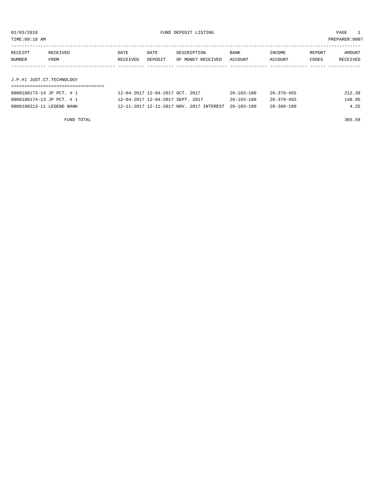TIME:09:18 AM PREPARER:0007

| RECEIPT | RECEIVED | DATE     | DATE    | DESCRIPTION       | <b>BANK</b> | INCOME  | REPORT | AMOUNT          |
|---------|----------|----------|---------|-------------------|-------------|---------|--------|-----------------|
| NUMBER  | FROM     | RECEIVED | DEPOSIT | OF MONEY RECEIVED | ACCOUNT     | ACCOUNT | CODES  | <b>RECEIVED</b> |
|         |          |          |         |                   |             |         |        |                 |

## J.P.#1 JUST.CT.TECHNOLOGY

| 0000180173-14 JP PCT. # 1 | 12-04-2017 12-04-2017 OCT. 2017                     | $26 - 103 - 100$ | $26 - 370 - 455$ | 212.38 |
|---------------------------|-----------------------------------------------------|------------------|------------------|--------|
| 0000180174-13 JP PCT. # 1 | 12-04-2017 12-04-2017 SEPT. 2017                    | 26-103-100       | 26-370-455       | 148.95 |
| 0000180213-11 LEGEND BANK | 12-11-2017 12-11-2017 NOV. 2017 INTEREST 26-103-100 |                  | 26-360-100       | 4.25   |

FUND TOTAL 365.58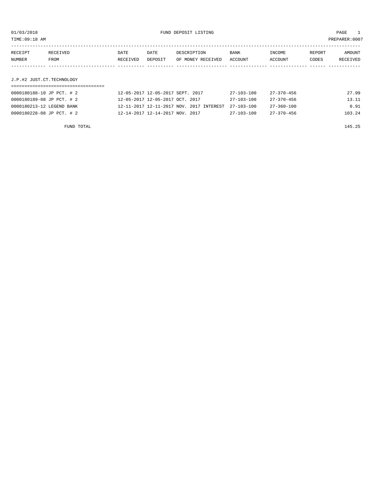TIME:09:18 AM PREPARER:0007

| RECEIPT | RECEIVED                  | DATE     | DATE    | DESCRIPTION       | <b>BANK</b> | INCOME  | REPORT | AMOUNT   |  |
|---------|---------------------------|----------|---------|-------------------|-------------|---------|--------|----------|--|
| NUMBER  | FROM                      | RECEIVED | DEPOSIT | OF MONEY RECEIVED | ACCOUNT     | ACCOUNT | CODES  | RECEIVED |  |
|         |                           |          |         |                   |             |         |        |          |  |
|         |                           |          |         |                   |             |         |        |          |  |
|         | J.P.#2 JUST.CT.TECHNOLOGY |          |         |                   |             |         |        |          |  |

# ===================================

| 0000180188-10 JP PCT. # 2 | 12-05-2017 12-05-2017 SEPT. 2017                    | 27-103-100       | 27-370-456       | 27.99  |
|---------------------------|-----------------------------------------------------|------------------|------------------|--------|
| 0000180189-08 JP PCT. # 2 | 12-05-2017 12-05-2017 OCT. 2017                     | $27 - 103 - 100$ | 27-370-456       | 13.11  |
| 0000180213-12 LEGEND BANK | 12-11-2017 12-11-2017 NOV. 2017 INTEREST 27-103-100 |                  | 27-360-100       | 0.91   |
| 0000180228-08 JP PCT. # 2 | 12-14-2017 12-14-2017 NOV. 2017                     | $27 - 103 - 100$ | $27 - 370 - 456$ | 103.24 |

FUND TOTAL 145.25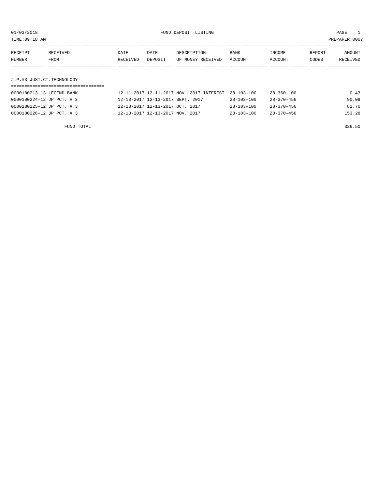TIME:09:18 AM PREPARER:0007

| RECEIPT | RECEIVED | DATE     | DATE    | DESCRIPTION       | BANK    | INCOME  | REPORT | AMOUNT   |
|---------|----------|----------|---------|-------------------|---------|---------|--------|----------|
| NUMBER  | FROM     | RECEIVED | DEPOSIT | OF MONEY RECEIVED | ACCOUNT | ACCOUNT | CODES  | RECEIVED |
|         |          |          |         |                   |         |         |        |          |
|         |          |          |         |                   |         |         |        |          |

# J.P.#3 JUST.CT.TECHNOLOGY

| 0000180213-13 LEGEND BANK | 12-11-2017 12-11-2017 NOV. 2017 INTEREST 28-103-100 |                  | 28-360-100       | 0.43   |
|---------------------------|-----------------------------------------------------|------------------|------------------|--------|
| 0000180224-12 JP PCT. # 3 | 12-13-2017 12-13-2017 SEPT. 2017                    | $28 - 103 - 100$ | 28-370-456       | 90.09  |
| 0000180225-12 JP PCT. # 3 | 12-13-2017 12-13-2017 OCT. 2017                     | $28 - 103 - 100$ | $28 - 370 - 456$ | 82.70  |
| 0000180226-12 JP PCT. # 3 | 12-13-2017 12-13-2017 NOV. 2017                     | $28 - 103 - 100$ | $28 - 370 - 456$ | 153.28 |

FUND TOTAL 326.50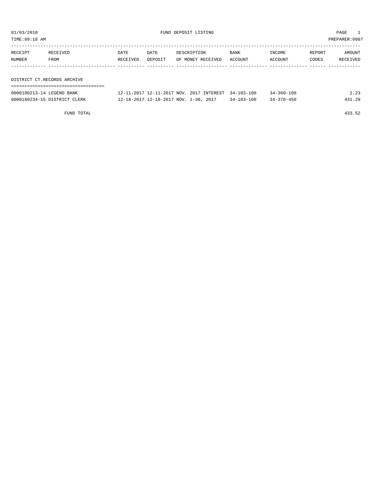TIME:09:18 AM PREPARER:0007

| RECEIPT | RECEIVED                    | DATE     | DATE    | DESCRIPTION       | BANK    | INCOME  | REPORT | AMOUNT   |
|---------|-----------------------------|----------|---------|-------------------|---------|---------|--------|----------|
| NUMBER  | FROM                        | RECEIVED | DEPOSIT | OF MONEY RECEIVED | ACCOUNT | ACCOUNT | CODES  | RECEIVED |
|         |                             |          |         |                   |         |         |        |          |
|         |                             |          |         |                   |         |         |        |          |
|         | DISTRICT CT.RECORDS ARCHIVE |          |         |                   |         |         |        |          |

| ---------------------        |                                                     |                  |                  |        |
|------------------------------|-----------------------------------------------------|------------------|------------------|--------|
| 0000180213-14 LEGEND BANK    | 12-11-2017 12-11-2017 NOV. 2017 INTEREST 34-103-100 |                  | $34 - 360 - 100$ | 2.23   |
| 0000180234-15 DISTRICT CLERK | 12-18-2017 12-18-2017 NOV. 1-30, 2017               | $34 - 103 - 100$ | $34 - 370 - 450$ | 431.29 |

FUND TOTAL 433.52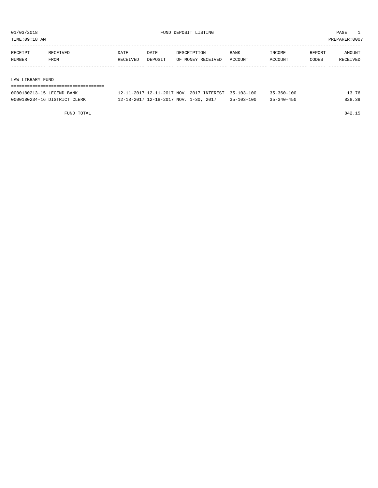TIME:09:18 AM PREPARER:0007

| RECEIPT | RECEIVED         | DATE     | DATE    | DESCRIPTION       | <b>BANK</b> | INCOME  | REPORT | AMOUNT   |  |
|---------|------------------|----------|---------|-------------------|-------------|---------|--------|----------|--|
| NUMBER  | FROM             | RECEIVED | DEPOSIT | OF MONEY RECEIVED | ACCOUNT     | ACCOUNT | CODES  | RECEIVED |  |
|         |                  |          |         |                   |             |         |        |          |  |
|         |                  |          |         |                   |             |         |        |          |  |
|         | LAW LIBRARY FUND |          |         |                   |             |         |        |          |  |
|         |                  |          |         |                   |             |         |        |          |  |

| 0000180213-15 LEGEND BANK    | 12-11-2017 12-11-2017 NOV. 2017 INTEREST 35-103-100 |                  | $35 - 360 - 100$ | 3.76   |
|------------------------------|-----------------------------------------------------|------------------|------------------|--------|
| 0000180234-16 DISTRICT CLERK | 12-18-2017 12-18-2017 NOV. 1-30, 2017               | $35 - 103 - 100$ | $35 - 340 - 450$ | 828.39 |

FUND TOTAL 842.15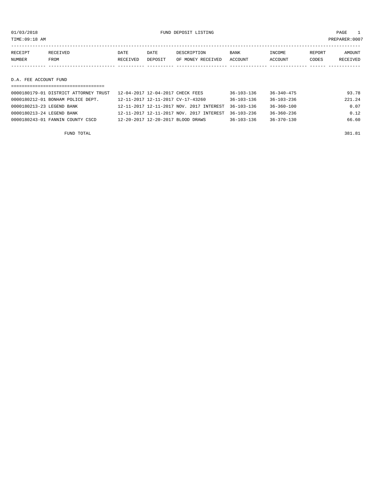01/03/2018 FUND DEPOSIT LISTING PAGE 1

| RECEIPT               | RECEIVED | DATE     | DATE    | DESCRIPTION       | <b>BANK</b> | INCOME  | REPORT | AMOUNT   |
|-----------------------|----------|----------|---------|-------------------|-------------|---------|--------|----------|
| NUMBER                | FROM     | RECEIVED | DEPOSIT | OF MONEY RECEIVED | ACCOUNT     | ACCOUNT | CODES  | RECEIVED |
|                       |          |          |         |                   |             |         |        |          |
|                       |          |          |         |                   |             |         |        |          |
| D.A. FEE ACCOUNT FUND |          |          |         |                   |             |         |        |          |
|                       |          |          |         |                   |             |         |        |          |

| 0000180179-01 DISTRICT ATTORNEY TRUST | 12-04-2017 12-04-2017 CHECK FEES                    | $36 - 103 - 136$ | $36 - 340 - 475$ | 93.78  |
|---------------------------------------|-----------------------------------------------------|------------------|------------------|--------|
| 0000180212-01 BONHAM POLICE DEPT.     | 12-11-2017 12-11-2017 CV-17-43260                   | $36 - 103 - 136$ | $36 - 103 - 236$ | 221.24 |
| 0000180213-23 LEGEND BANK             | 12-11-2017 12-11-2017 NOV. 2017 INTEREST 36-103-136 |                  | 36-360-100       | 0.07   |
| 0000180213-24 LEGEND BANK             | 12-11-2017 12-11-2017 NOV. 2017 INTEREST 36-103-236 |                  | $36 - 360 - 236$ | 0.12   |
| 0000180243-01 FANNIN COUNTY CSCD      | 12-20-2017 12-20-2017 BLOOD DRAWS                   | $36 - 103 - 136$ | $36 - 370 - 130$ | 66.60  |
|                                       |                                                     |                  |                  |        |

FUND TOTAL 381.81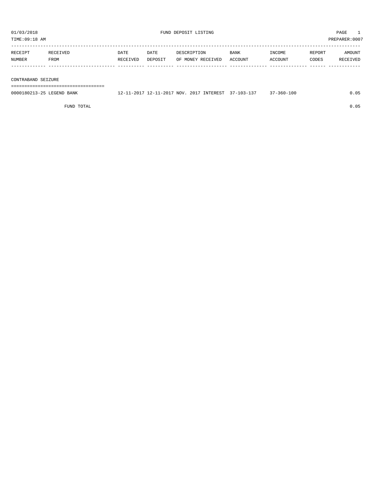| PREPARER: 0007<br>TIME:09:18 AM |          |          |         |                   |         |         |        |          |  |
|---------------------------------|----------|----------|---------|-------------------|---------|---------|--------|----------|--|
| RECEIPT                         | RECEIVED | DATE     | DATE    | DESCRIPTION       | BANK    | INCOME  | REPORT | AMOUNT   |  |
| NUMBER                          | FROM     | RECEIVED | DEPOSIT | OF MONEY RECEIVED | ACCOUNT | ACCOUNT | CODES  | RECEIVED |  |
|                                 |          |          |         |                   |         |         |        |          |  |
| CONTRABAND SEIZURE              |          |          |         |                   |         |         |        |          |  |

===================================

| 0000180213-25 LEGEND BANK | 12-11-2017 12-11-2017 NOV. 2017 INTEREST 37-103-137 |  | $37 - 360 - 100$ | 0.05 |
|---------------------------|-----------------------------------------------------|--|------------------|------|
|                           |                                                     |  |                  |      |

FUND TOTAL 0.05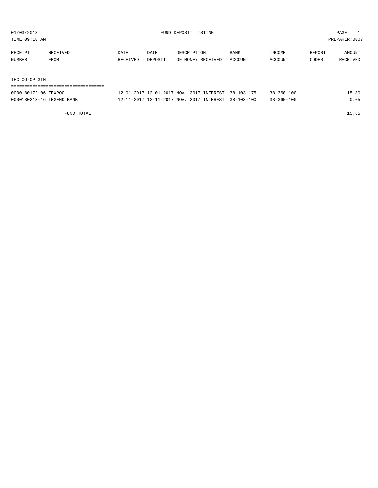TIME:09:18 AM PREPARER:0007

| RECEIPT | RECEIVED | DATE     | DATE    | DESCRIPTION       | <b>BANK</b> | INCOME  | REPORT | AMOUNT   |
|---------|----------|----------|---------|-------------------|-------------|---------|--------|----------|
| NUMBER  | FROM     | RECEIVED | DEPOSIT | OF MONEY RECEIVED | ACCOUNT     | ACCOUNT | CODES  | RECEIVED |
|         |          |          |         |                   |             |         |        |          |
|         |          |          |         |                   |             |         |        |          |

IHC CO-OP GIN

## ===================================

| 0000180172-06 TEXPOOL     | 12-01-2017 12-01-2017 NOV, 2017 INTEREST 38-103-175 |  | $38 - 360 - 100$ | 5.80 |
|---------------------------|-----------------------------------------------------|--|------------------|------|
| 0000180213-16 LEGEND BANK | 12-11-2017 12-11-2017 NOV. 2017 INTEREST 38-103-100 |  | $38 - 360 - 100$ |      |

FUND TOTAL 15.85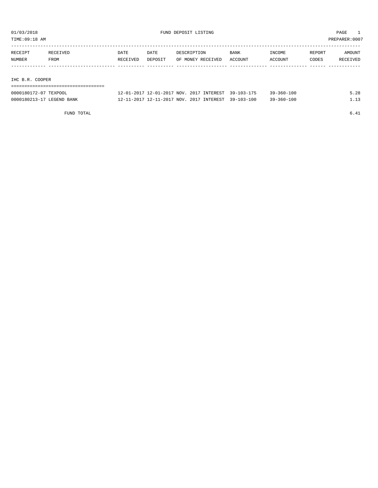TIME:09:18 AM PREPARER:0007

| RECEIPT           | RECEIVED | DATE     | DATE    | DESCRIPTION       | <b>BANK</b> | INCOME  | REPORT | AMOUNT   |
|-------------------|----------|----------|---------|-------------------|-------------|---------|--------|----------|
| NUMBER            | FROM     | RECEIVED | DEPOSIT | OF MONEY RECEIVED | ACCOUNT     | ACCOUNT | CODES  | RECEIVED |
|                   |          |          |         |                   |             |         |        |          |
|                   |          |          |         |                   |             |         |        |          |
| COOPER<br>THC R R |          |          |         |                   |             |         |        |          |

IHC B.R. COOPER

# ===================================

| 0000180172-07 TEXPOOL     | 12-01-2017 12-01-2017 NOV, 2017 INTEREST 39-103-175 |  | $39 - 360 - 100$ | 28. د |
|---------------------------|-----------------------------------------------------|--|------------------|-------|
| 0000180213-17 LEGEND BANK | 12-11-2017 12-11-2017 NOV. 2017 INTEREST 39-103-100 |  | $39 - 360 - 100$ |       |

FUND TOTAL  $6.41$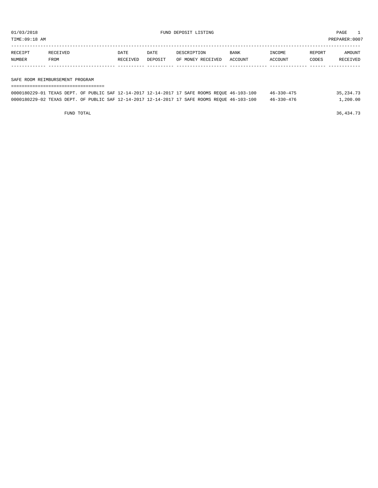TIME:09:18 AM PREPARER:0007

| RECEIPT | <b>RECEIVED</b> | DATE     | <b>DATE</b> | DESCRIPTION       | <b>BANK</b> | <b>INCOME</b>  | REPORT | AMOUNT          |
|---------|-----------------|----------|-------------|-------------------|-------------|----------------|--------|-----------------|
| NUMBER  | <b>FROM</b>     | RECEIVED | DEPOSIT     | OF MONEY RECEIVED | ACCOUNT     | <b>ACCOUNT</b> | CODES  | <b>RECEIVED</b> |
|         |                 |          |             |                   |             |                |        |                 |

#### SAFE ROOM REIMBURSEMENT PROGRAM

| -------------------------------------                                                        |  |  |  |  |  |            |             |
|----------------------------------------------------------------------------------------------|--|--|--|--|--|------------|-------------|
| 0000180229-01 TEXAS DEPT. OF PUBLIC SAF 12-14-2017 12-14-2017 17 SAFE ROOMS REQUE 46-103-100 |  |  |  |  |  | 46-330-475 | 35, 234, 73 |
| 0000180229-02 TEXAS DEPT. OF PUBLIC SAF 12-14-2017 12-14-2017 17 SAFE ROOMS REQUE 46-103-100 |  |  |  |  |  | 46-330-476 | 1,200.00    |

FUND TOTAL 36,434.73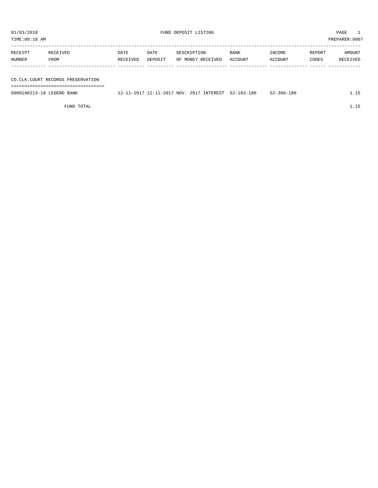| PREPARER:0007<br>TIME:09:18 AM |                  |                  |                 |                                  |                        |                   |                 |                    |  |
|--------------------------------|------------------|------------------|-----------------|----------------------------------|------------------------|-------------------|-----------------|--------------------|--|
| RECEIPT<br>NUMBER              | RECEIVED<br>FROM | DATE<br>RECEIVED | DATE<br>DEPOSIT | DESCRIPTION<br>OF MONEY RECEIVED | <b>BANK</b><br>ACCOUNT | INCOME<br>ACCOUNT | REPORT<br>CODES | AMOUNT<br>RECEIVED |  |
|                                |                  |                  |                 |                                  |                        |                   |                 |                    |  |

CO.CLK.COURT RECORDS PRESERVATION

===================================

0000180213-18 LEGEND BANK 12-11-2017 12-11-2017 NOV. 2017 INTEREST 52-103-100 52-360-100 1.15

FUND TOTAL 1.15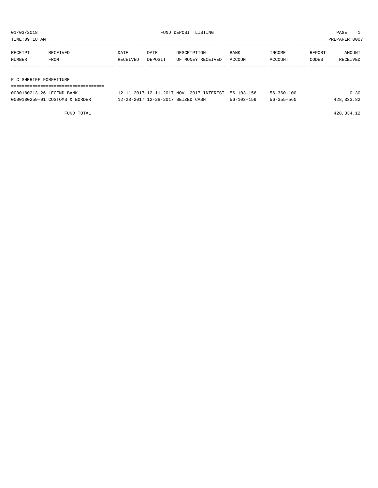TIME:09:18 AM PREPARER:0007

| RECEIPT | RECEIVED | <b>DATE</b> | DATE    | DESCRIPTION       | <b>BANK</b> | INCOME  | REPORT | AMOUNT   |
|---------|----------|-------------|---------|-------------------|-------------|---------|--------|----------|
| NUMBER  | FROM     | RECEIVED    | DEPOSIT | OF MONEY RECEIVED | ACCOUNT     | ACCOUNT | CODES  | RECEIVED |
|         |          |             |         |                   |             |         |        |          |
|         |          |             |         |                   |             |         |        |          |

# F C SHERIFF FORFEITURE

| 0000180213-26 LEGEND BANK      | 12-11-2017 12-11-2017 NOV. 2017 INTEREST 56-103-156 |            | $56 - 360 - 100$ | 0.30       |
|--------------------------------|-----------------------------------------------------|------------|------------------|------------|
| 0000180259-01 CUSTOMS & BORDER | 12-28-2017 12-28-2017 SEIZED CASH                   | 56-103-159 | $56 - 355 - 560$ | 428,333.82 |

FUND TOTAL 428,334.12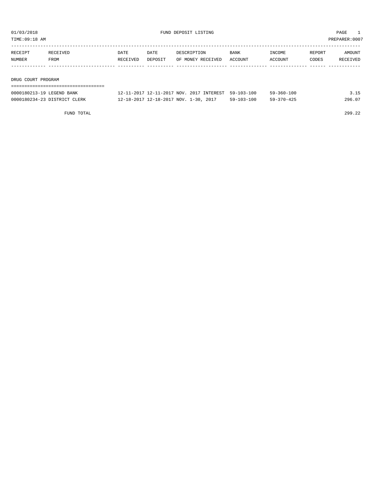TIME:09:18 AM PREPARER:0007

| RECEIPT            | RECEIVED | DATE     | DATE    | DESCRIPTION       | <b>BANK</b> | INCOME  | REPORT | AMOUNT   |
|--------------------|----------|----------|---------|-------------------|-------------|---------|--------|----------|
| NUMBER             | FROM     | RECEIVED | DEPOSIT | OF MONEY RECEIVED | ACCOUNT     | ACCOUNT | CODES  | RECEIVED |
|                    |          |          |         |                   |             |         |        |          |
|                    |          |          |         |                   |             |         |        |          |
| DRUG COURT PROGRAM |          |          |         |                   |             |         |        |          |

| 0000180213-19 LEGEND BANK    | 12-11-2017 12-11-2017 NOV. 2017 INTEREST 59-103-100 |            | 59-360-100       | 3.15   |
|------------------------------|-----------------------------------------------------|------------|------------------|--------|
| 0000180234-23 DISTRICT CLERK | 12-18-2017 12-18-2017 NOV. 1-30, 2017               | 59-103-100 | $59 - 370 - 425$ | 296.07 |

FUND TOTAL 299.22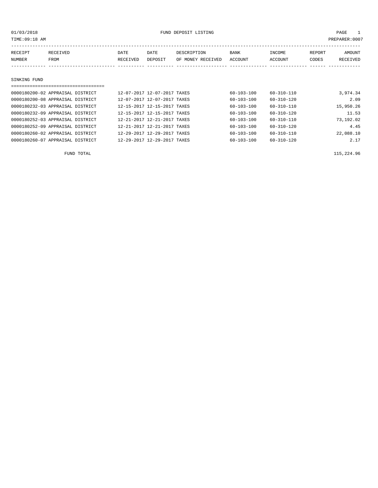| TIME:09:18 AM |                                  |          |                             |                   |                  |                  | PREPARER:0007 |           |
|---------------|----------------------------------|----------|-----------------------------|-------------------|------------------|------------------|---------------|-----------|
| RECEIPT       | RECEIVED                         | DATE     | DATE                        | DESCRIPTION       | <b>BANK</b>      | INCOME           | REPORT        | AMOUNT    |
| NUMBER        | <b>FROM</b>                      | RECEIVED | DEPOSIT                     | OF MONEY RECEIVED | <b>ACCOUNT</b>   | ACCOUNT          | CODES         | RECEIVED  |
|               |                                  |          |                             |                   |                  |                  |               |           |
| SINKING FUND  |                                  |          |                             |                   |                  |                  |               |           |
|               | ================================ |          |                             |                   |                  |                  |               |           |
|               | 0000180200-02 APPRAISAL DISTRICT |          | 12-07-2017 12-07-2017 TAXES |                   | $60 - 103 - 100$ | $60 - 310 - 110$ |               | 3,974.34  |
|               | 0000180200-08 APPRAISAL DISTRICT |          | 12-07-2017 12-07-2017 TAXES |                   | 60-103-100       | $60 - 310 - 120$ |               | 2.09      |
|               | 0000180232-03 APPRAISAL DISTRICT |          | 12-15-2017 12-15-2017 TAXES |                   | 60-103-100       | $60 - 310 - 110$ |               | 15,950.26 |
|               | 0000180232-09 APPRAISAL DISTRICT |          | 12-15-2017 12-15-2017 TAXES |                   | 60-103-100       | $60 - 310 - 120$ |               | 11.53     |
|               | 0000180252-03 APPRAISAL DISTRICT |          | 12-21-2017 12-21-2017 TAXES |                   | 60-103-100       | 60-310-110       |               | 73,192.02 |
|               | 0000180252-09 APPRAISAL DISTRICT |          | 12-21-2017 12-21-2017 TAXES |                   | $60 - 103 - 100$ | $60 - 310 - 120$ |               | 4.45      |

0000180260-02 APPRAISAL DISTRICT 12-29-2017 12-29-2017 TAXES 60-103-100 60-310-110 22,088.10 0000180260-07 APPRAISAL DISTRICT 12-29-2017 12-29-2017 TAXES 60-103-100 60-310-120 2.17

FUND TOTAL 115,224.96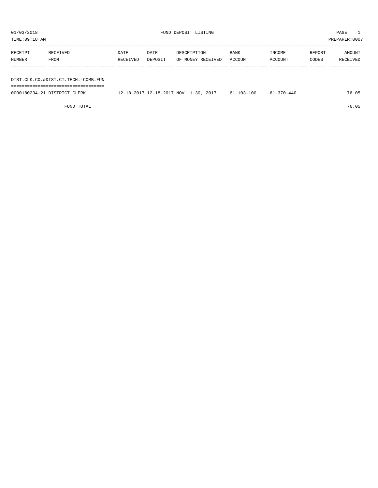| TIME:09:18 AM                       |                  |                  |                 |                                  |                 |                   |                 | PREPARER:0007      |
|-------------------------------------|------------------|------------------|-----------------|----------------------------------|-----------------|-------------------|-----------------|--------------------|
| RECEIPT<br>NUMBER                   | RECEIVED<br>FROM | DATE<br>RECEIVED | DATE<br>DEPOSIT | DESCRIPTION<br>OF MONEY RECEIVED | BANK<br>ACCOUNT | INCOME<br>ACCOUNT | REPORT<br>CODES | AMOUNT<br>RECEIVED |
|                                     |                  |                  |                 |                                  |                 |                   |                 |                    |
| DIST.CLK.CO.&DIST.CT.TECH.-COMB.FUN |                  |                  |                 |                                  |                 |                   |                 |                    |

| 0000180234-21 DISTRICT CLERK | 12-18-2017 12-18-2017 NOV. 1-30, 2017 | $61 - 103 - 100$ | $61 - 370 - 440$ | 76.05 |
|------------------------------|---------------------------------------|------------------|------------------|-------|
|                              |                                       |                  |                  |       |

FUND TOTAL 76.05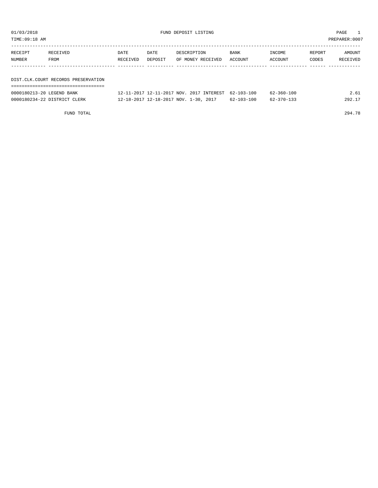TIME:09:18 AM PREPARER:0007

| RECEIPT<br>NUMBER | RECEIVED<br>FROM                      | DATE<br>RECEIVED | DATE<br>DEPOSIT | DESCRIPTION<br>OF MONEY RECEIVED | BANK<br>ACCOUNT | INCOME<br>ACCOUNT | REPORT<br>CODES | AMOUNT<br>RECEIVED |
|-------------------|---------------------------------------|------------------|-----------------|----------------------------------|-----------------|-------------------|-----------------|--------------------|
|                   |                                       |                  |                 |                                  |                 |                   |                 |                    |
|                   |                                       |                  |                 |                                  |                 |                   |                 |                    |
|                   | DIST. CLK. COURT RECORDS PRESERVATION |                  |                 |                                  |                 |                   |                 |                    |
|                   |                                       |                  |                 |                                  |                 |                   |                 |                    |

| 0000180213-20 LEGEND BANK    | 12-11-2017 12-11-2017 NOV. 2017 INTEREST 62-103-100 |                  | $62 - 360 - 100$ | 2.61   |
|------------------------------|-----------------------------------------------------|------------------|------------------|--------|
| 0000180234-22 DISTRICT CLERK | 12-18-2017 12-18-2017 NOV. 1-30, 2017               | $62 - 103 - 100$ | 62-370-133       | 292.17 |

FUND TOTAL 294.78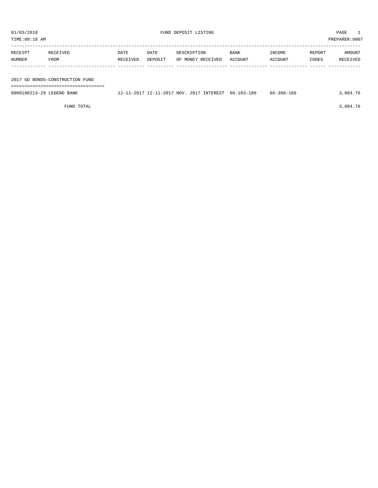| TIME:09:18 AM             |                                 |          |         |                                                     |         |            | PREPARER:0007 |          |
|---------------------------|---------------------------------|----------|---------|-----------------------------------------------------|---------|------------|---------------|----------|
|                           |                                 |          |         |                                                     |         |            |               |          |
| RECEIPT                   | RECEIVED                        | DATE     | DATE    | DESCRIPTION                                         | BANK    | INCOME     | REPORT        | AMOUNT   |
| NUMBER                    | FROM                            | RECEIVED | DEPOSIT | OF MONEY RECEIVED                                   | ACCOUNT | ACCOUNT    | CODES         | RECEIVED |
|                           |                                 |          |         |                                                     |         |            |               |          |
|                           |                                 |          |         |                                                     |         |            |               |          |
|                           | 2017 GO BONDS-CONSTRUCTION FUND |          |         |                                                     |         |            |               |          |
|                           |                                 |          |         |                                                     |         |            |               |          |
| 0000180213-29 LEGEND BANK |                                 |          |         | 12-11-2017 12-11-2017 NOV. 2017 INTEREST 66-103-100 |         | 66-360-166 |               | 3,884.76 |
|                           |                                 |          |         |                                                     |         |            |               |          |

FUND TOTAL 3,884.76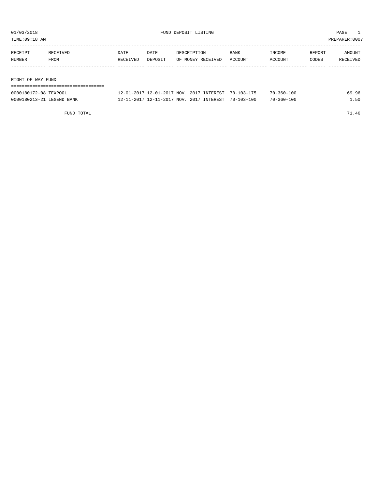TIME:09:18 AM PREPARER:0007

| RECEIPT           | RECEIVED | DATE     | <b>DATE</b> | DESCRIPTION       | <b>BANK</b> | INCOME  | REPORT | AMOUNT   |
|-------------------|----------|----------|-------------|-------------------|-------------|---------|--------|----------|
| NUMBER            | FROM     | RECEIVED | DEPOSIT     | OF MONEY RECEIVED | ACCOUNT     | ACCOUNT | CODES  | RECEIVED |
|                   |          |          |             |                   |             |         |        |          |
|                   |          |          |             |                   |             |         |        |          |
| RIGHT OF WAY FUND |          |          |             |                   |             |         |        |          |

| ==================================== |                                                     |  |                  |       |
|--------------------------------------|-----------------------------------------------------|--|------------------|-------|
| 0000180172-08 TEXPOOL                | 12-01-2017 12-01-2017 NOV, 2017 INTEREST 70-103-175 |  | $70 - 360 - 100$ | 69.96 |
| 0000180213-21 LEGEND BANK            | 12-11-2017 12-11-2017 NOV. 2017 INTEREST 70-103-100 |  | $70 - 360 - 100$ | 1.50  |

FUND TOTAL 71.46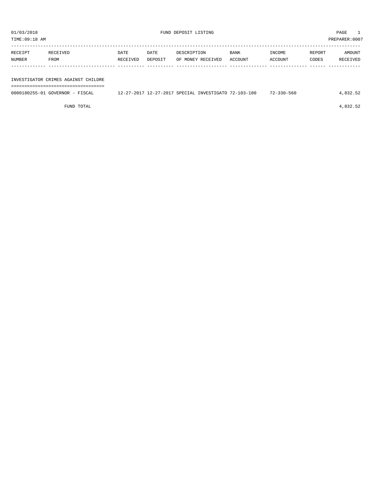TIME:09:18 AM PREPARER:0007

| RECEIPT       | RECEIVED | DATE     | DATE    | DESCRIPTION       | <b>BANK</b> | INCOME  | REPORT | AMOUNT   |
|---------------|----------|----------|---------|-------------------|-------------|---------|--------|----------|
| <b>NUMBER</b> | FROM     | RECEIVED | DEPOSIT | OF MONEY RECEIVED | ACCOUNT     | ACCOUNT | CODES  | RECEIVED |
|               |          |          |         |                   |             |         |        |          |
|               |          |          |         |                   |             |         |        |          |

### INVESTIGATOR CRIMES AGAINST CHILDRE ===================================

| 0000180255-01 GOVERNOR - FISCAL | 12-27-2017 12-27-2017 SPECIAL INVESTIGATO 72-103-100 |  | $72 - 330 - 560$ | .832.52 |
|---------------------------------|------------------------------------------------------|--|------------------|---------|

FUND TOTAL  $4,832.52$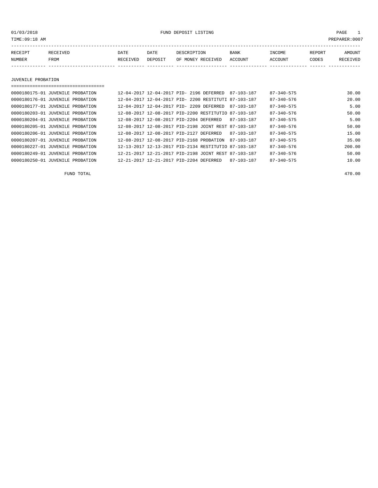01/03/2018 FUND DEPOSIT LISTING PAGE 1

| RECEIPT | RECEIVED | DATE     | DATE    | DESCRIPTION       | <b>BANK</b> | INCOME  | <b>REPORT</b> | AMOUNT          |
|---------|----------|----------|---------|-------------------|-------------|---------|---------------|-----------------|
| NUMBER  | FROM     | RECEIVED | DEPOSIT | OF MONEY RECEIVED | ACCOUNT     | ACCOUNT | CODES         | <b>RECEIVED</b> |
|         |          |          |         |                   |             |         |               |                 |

JUVENILE PROBATION

===================================

| 0000180175-01 JUVENILE PROBATION |  | 12-04-2017 12-04-2017 PID- 2196 DEFERRED |                                                      | 87-103-187       | $87 - 340 - 575$ | 30.00  |
|----------------------------------|--|------------------------------------------|------------------------------------------------------|------------------|------------------|--------|
| 0000180176-01 JUVENILE PROBATION |  |                                          | 12-04-2017 12-04-2017 PID- 2200 RESTITUTI 87-103-187 |                  | $87 - 340 - 576$ | 20.00  |
| 0000180177-01 JUVENILE PROBATION |  | 12-04-2017 12-04-2017 PTD- 2209 DEFERRED |                                                      | 87-103-187       | $87 - 340 - 575$ | 5.00   |
| 0000180203-01 JUVENILE PROBATION |  |                                          | 12-08-2017 12-08-2017 PID-2200 RESTITUTIO 87-103-187 |                  | $87 - 340 - 576$ | 50.00  |
| 0000180204-01 JUVENILE PROBATION |  | 12-08-2017 12-08-2017 PID-2204 DEFERRED  |                                                      | 87-103-187       | $87 - 340 - 575$ | 5.00   |
| 0000180205-01 JUVENILE PROBATION |  |                                          | 12-08-2017 12-08-2017 PID-2198 JOINT REST 87-103-187 |                  | $87 - 340 - 576$ | 50.00  |
| 0000180206-01 JUVENILE PROBATION |  | 12-08-2017 12-08-2017 PID-2127 DEFERRED  |                                                      | $87 - 103 - 187$ | $87 - 340 - 575$ | 15.00  |
| 0000180207-01 JUVENILE PROBATION |  | 12-08-2017 12-08-2017 PID-2168 PROBATION |                                                      | 87-103-187       | $87 - 340 - 575$ | 35.00  |
| 0000180227-01 JUVENILE PROBATION |  |                                          | 12-13-2017 12-13-2017 PID-2134 RESTITUTIO 87-103-187 |                  | $87 - 340 - 576$ | 200.00 |
| 0000180249-01 JUVENILE PROBATION |  |                                          | 12-21-2017 12-21-2017 PID-2198 JOINT REST 87-103-187 |                  | $87 - 340 - 576$ | 50.00  |
| 0000180250-01 JUVENILE PROBATION |  | 12-21-2017 12-21-2017 PID-2204 DEFERRED  |                                                      | 87-103-187       | $87 - 340 - 575$ | 10.00  |
|                                  |  |                                          |                                                      |                  |                  |        |

FUND TOTAL 470.00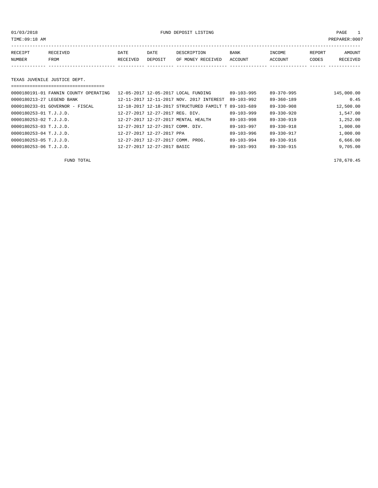01/03/2018 FUND DEPOSIT LISTING PAGE 1

| RECEIPT | RECEIVED | DATE     | DATE    | DESCRIPTION       | <b>BANK</b> | INCOME  | REPORT | AMOUNT   |
|---------|----------|----------|---------|-------------------|-------------|---------|--------|----------|
| NUMBER  | FROM     | RECEIVED | DEPOSIT | OF MONEY RECEIVED | ACCOUNT     | ACCOUNT | CODES  | RECEIVED |
|         |          |          |         |                   |             |         |        |          |

### TEXAS JUVENILE JUSTICE DEPT.

| ==================================    |                                                      |  |                  |                  |            |  |  |
|---------------------------------------|------------------------------------------------------|--|------------------|------------------|------------|--|--|
| 0000180191-01 FANNIN COUNTY OPERATING | 12-05-2017 12-05-2017 LOCAL FUNDING                  |  | $89 - 103 - 995$ | $89 - 370 - 995$ | 145,000.00 |  |  |
| 0000180213-27 LEGEND BANK             | 12-11-2017 12-11-2017 NOV. 2017 INTEREST             |  | $89 - 103 - 992$ | $89 - 360 - 189$ | 0.45       |  |  |
| 0000180233-01 GOVERNOR - FISCAL       | 12-18-2017 12-18-2017 STRUCTURED FAMILT T 89-103-689 |  |                  | $89 - 330 - 908$ | 12,500.00  |  |  |
| 0000180253-01 T.J.J.D.                | 12-27-2017 12-27-2017 REG. DIV.                      |  | $89 - 103 - 999$ | $89 - 330 - 920$ | 1,547.00   |  |  |
| 0000180253-02 T.J.J.D.                | 12-27-2017 12-27-2017 MENTAL HEALTH                  |  | $89 - 103 - 998$ | $89 - 330 - 919$ | 1,252.00   |  |  |
| 0000180253-03 T.J.J.D.                | 12-27-2017 12-27-2017 COMM. DIV.                     |  | $89 - 103 - 997$ | $89 - 330 - 918$ | 1,000.00   |  |  |
| 0000180253-04 T.J.J.D.                | 12-27-2017 12-27-2017 PPA                            |  | $89 - 103 - 996$ | $89 - 330 - 917$ | 1,000.00   |  |  |
| 0000180253-05 T.J.J.D.                | 12-27-2017 12-27-2017 COMM. PROG.                    |  | $89 - 103 - 994$ | $89 - 330 - 916$ | 6,666.00   |  |  |
| 0000180253-06 T.J.J.D.                | 12-27-2017 12-27-2017 BASIC                          |  | $89 - 103 - 993$ | $89 - 330 - 915$ | 9,705.00   |  |  |

FUND TOTAL 178,670.45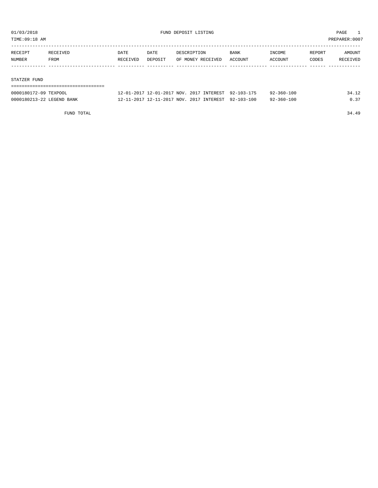TIME:09:18 AM PREPARER:0007

| RECEIPT | RECEIVED | DATE     | DATE    | DESCRIPTION       | <b>BANK</b> | INCOME         | REPORT | AMOUNT   |
|---------|----------|----------|---------|-------------------|-------------|----------------|--------|----------|
| NUMBER  | FROM     | RECEIVED | DEPOSIT | OF MONEY RECEIVED | ACCOUNT     | <b>ACCOUNT</b> | CODES  | RECEIVED |
|         |          |          |         |                   |             |                |        |          |

#### STATZER FUND

| -----------------------   |                                                     |                  |       |
|---------------------------|-----------------------------------------------------|------------------|-------|
| 0000180172-09 TEXPOOL     | 12-01-2017 12-01-2017 NOV. 2017 INTEREST 92-103-175 | 92-360-100       | 34.12 |
| 0000180213-22 LEGEND BANK | 12-11-2017 12-11-2017 NOV. 2017 INTEREST 92-103-100 | $92 - 360 - 100$ | 0 37  |

FUND TOTAL 34.49